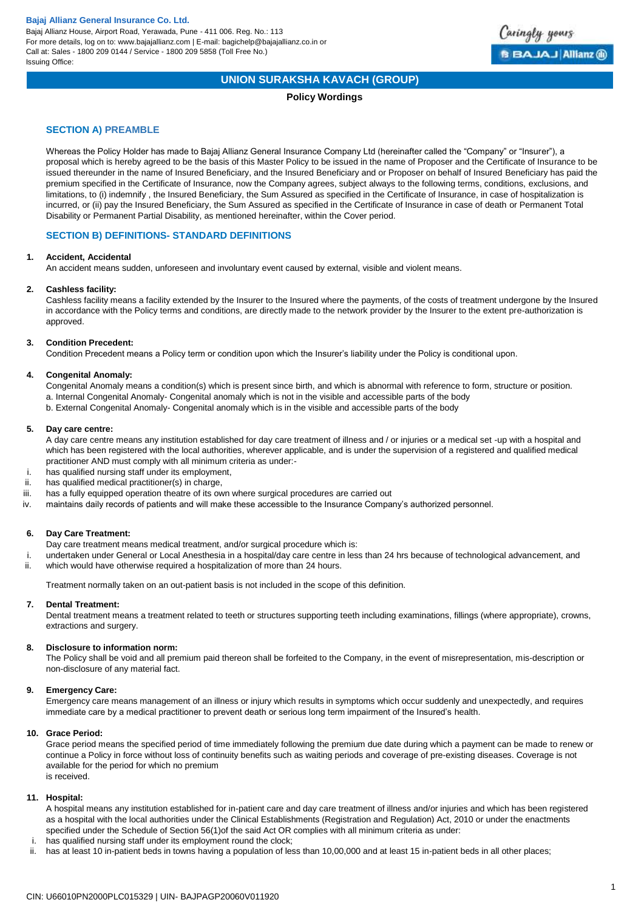Bajaj Allianz House, Airport Road, Yerawada, Pune - 411 006. Reg. No.: 113 For more details, log on to: www.bajajallianz.com | E-mail: bagichelp@bajajallianz.co.in or Call at: Sales - 1800 209 0144 / Service - 1800 209 5858 (Toll Free No.) Issuing Office:



# **UNION SURAKSHA KAVACH (GROUP)**

# **Policy Wordings**

# **SECTION A) PREAMBLE**

Whereas the Policy Holder has made to Bajaj Allianz General Insurance Company Ltd (hereinafter called the "Company" or "Insurer"), a proposal which is hereby agreed to be the basis of this Master Policy to be issued in the name of Proposer and the Certificate of Insurance to be issued thereunder in the name of Insured Beneficiary, and the Insured Beneficiary and or Proposer on behalf of Insured Beneficiary has paid the premium specified in the Certificate of Insurance, now the Company agrees, subject always to the following terms, conditions, exclusions, and limitations, to (i) indemnify , the Insured Beneficiary, the Sum Assured as specified in the Certificate of Insurance, in case of hospitalization is incurred, or (ii) pay the Insured Beneficiary, the Sum Assured as specified in the Certificate of Insurance in case of death or Permanent Total Disability or Permanent Partial Disability, as mentioned hereinafter, within the Cover period.

# **SECTION B) DEFINITIONS- STANDARD DEFINITIONS**

# **1. Accident, Accidental**

An accident means sudden, unforeseen and involuntary event caused by external, visible and violent means.

#### **2. Cashless facility:**

Cashless facility means a facility extended by the Insurer to the Insured where the payments, of the costs of treatment undergone by the Insured in accordance with the Policy terms and conditions, are directly made to the network provider by the Insurer to the extent pre-authorization is approved.

#### **3. Condition Precedent:**

Condition Precedent means a Policy term or condition upon which the Insurer's liability under the Policy is conditional upon.

#### **4. Congenital Anomaly:**

Congenital Anomaly means a condition(s) which is present since birth, and which is abnormal with reference to form, structure or position. a. Internal Congenital Anomaly- Congenital anomaly which is not in the visible and accessible parts of the body

b. External Congenital Anomaly- Congenital anomaly which is in the visible and accessible parts of the body

#### **5. Day care centre:**

A day care centre means any institution established for day care treatment of illness and / or injuries or a medical set -up with a hospital and which has been registered with the local authorities, wherever applicable, and is under the supervision of a registered and qualified medical practitioner AND must comply with all minimum criteria as under:-

- i. has qualified nursing staff under its employment,
- ii. has qualified medical practitioner(s) in charge,
- iii. has a fully equipped operation theatre of its own where surgical procedures are carried out
- iv. maintains daily records of patients and will make these accessible to the Insurance Company's authorized personnel.

#### **6. Day Care Treatment:**

Day care treatment means medical treatment, and/or surgical procedure which is:

- i. undertaken under General or Local Anesthesia in a hospital/day care centre in less than 24 hrs because of technological advancement, and<br>ii. which would have otherwise required a hospitalization of more than 24 hours.
- which would have otherwise required a hospitalization of more than 24 hours.

Treatment normally taken on an out-patient basis is not included in the scope of this definition.

#### **7. Dental Treatment:**

Dental treatment means a treatment related to teeth or structures supporting teeth including examinations, fillings (where appropriate), crowns, extractions and surgery.

#### **8. Disclosure to information norm:**

The Policy shall be void and all premium paid thereon shall be forfeited to the Company, in the event of misrepresentation, mis-description or non-disclosure of any material fact.

# **9. Emergency Care:**

Emergency care means management of an illness or injury which results in symptoms which occur suddenly and unexpectedly, and requires immediate care by a medical practitioner to prevent death or serious long term impairment of the Insured's health.

#### **10. Grace Period:**

Grace period means the specified period of time immediately following the premium due date during which a payment can be made to renew or continue a Policy in force without loss of continuity benefits such as waiting periods and coverage of pre-existing diseases. Coverage is not available for the period for which no premium is received.

# **11. Hospital:**

A hospital means any institution established for in-patient care and day care treatment of illness and/or injuries and which has been registered as a hospital with the local authorities under the Clinical Establishments (Registration and Regulation) Act, 2010 or under the enactments specified under the Schedule of Section 56(1)of the said Act OR complies with all minimum criteria as under:

- i. has qualified nursing staff under its employment round the clock;
- ii. has at least 10 in-patient beds in towns having a population of less than 10,00,000 and at least 15 in-patient beds in all other places;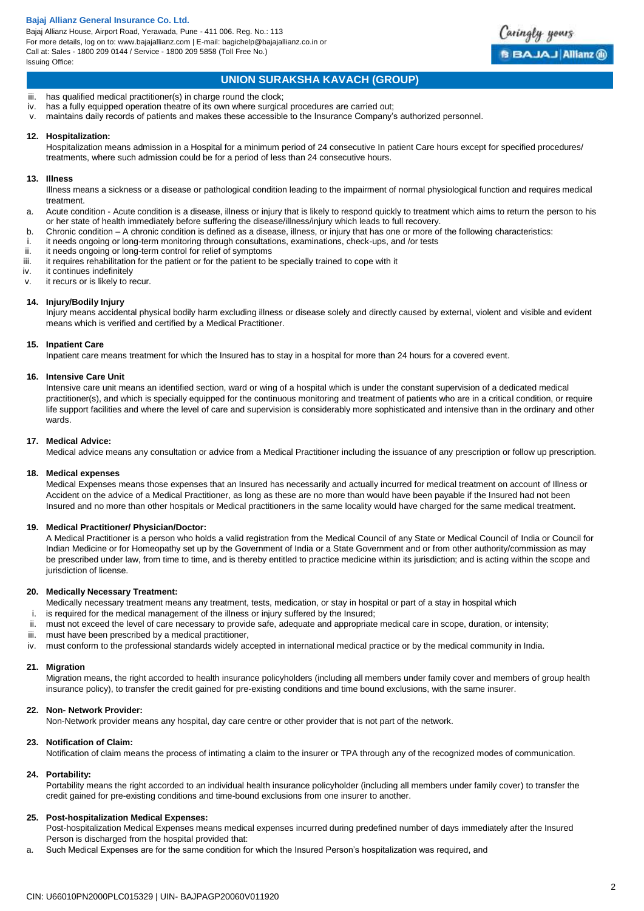Bajaj Allianz House, Airport Road, Yerawada, Pune - 411 006. Reg. No.: 113 For more details, log on to: www.bajajallianz.com | E-mail: bagichelp@bajajallianz.co.in or Call at: Sales - 1800 209 0144 / Service - 1800 209 5858 (Toll Free No.) Issuing Office:



# **UNION SURAKSHA KAVACH (GROUP)**

- iii. has qualified medical practitioner(s) in charge round the clock;
- iv. has a fully equipped operation theatre of its own where surgical procedures are carried out;
- v. maintains daily records of patients and makes these accessible to the Insurance Company's authorized personnel.

#### **12. Hospitalization:**

Hospitalization means admission in a Hospital for a minimum period of 24 consecutive In patient Care hours except for specified procedures/ treatments, where such admission could be for a period of less than 24 consecutive hours.

#### **13. Illness**

Illness means a sickness or a disease or pathological condition leading to the impairment of normal physiological function and requires medical treatment.

- a. Acute condition Acute condition is a disease, illness or injury that is likely to respond quickly to treatment which aims to return the person to his or her state of health immediately before suffering the disease/illness/injury which leads to full recovery.
- b. Chronic condition A chronic condition is defined as a disease, illness, or injury that has one or more of the following characteristics:
- i. it needs ongoing or long-term monitoring through consultations, examinations, check-ups, and /or tests
- ii. it needs ongoing or long-term control for relief of symptoms
- iii. it requires rehabilitation for the patient or for the patient to be specially trained to cope with it
- iv. it continues indefinitely v. it recurs or is likely to recur.
- 

# **14. Injury/Bodily Injury**

Injury means accidental physical bodily harm excluding illness or disease solely and directly caused by external, violent and visible and evident means which is verified and certified by a Medical Practitioner.

#### **15. Inpatient Care**

Inpatient care means treatment for which the Insured has to stay in a hospital for more than 24 hours for a covered event.

#### **16. Intensive Care Unit**

Intensive care unit means an identified section, ward or wing of a hospital which is under the constant supervision of a dedicated medical practitioner(s), and which is specially equipped for the continuous monitoring and treatment of patients who are in a critical condition, or require life support facilities and where the level of care and supervision is considerably more sophisticated and intensive than in the ordinary and other wards.

#### **17. Medical Advice:**

Medical advice means any consultation or advice from a Medical Practitioner including the issuance of any prescription or follow up prescription.

#### **18. Medical expenses**

Medical Expenses means those expenses that an Insured has necessarily and actually incurred for medical treatment on account of Illness or Accident on the advice of a Medical Practitioner, as long as these are no more than would have been payable if the Insured had not been Insured and no more than other hospitals or Medical practitioners in the same locality would have charged for the same medical treatment.

# **19. Medical Practitioner/ Physician/Doctor:**

A Medical Practitioner is a person who holds a valid registration from the Medical Council of any State or Medical Council of India or Council for Indian Medicine or for Homeopathy set up by the Government of India or a State Government and or from other authority/commission as may be prescribed under law, from time to time, and is thereby entitled to practice medicine within its jurisdiction; and is acting within the scope and jurisdiction of license.

#### **20. Medically Necessary Treatment:**

Medically necessary treatment means any treatment, tests, medication, or stay in hospital or part of a stay in hospital which

- i. is required for the medical management of the illness or injury suffered by the Insured;
- ii. must not exceed the level of care necessary to provide safe, adequate and appropriate medical care in scope, duration, or intensity;
- iii. must have been prescribed by a medical practitioner,
- iv. must conform to the professional standards widely accepted in international medical practice or by the medical community in India.

# **21. Migration**

Migration means, the right accorded to health insurance policyholders (including all members under family cover and members of group health insurance policy), to transfer the credit gained for pre-existing conditions and time bound exclusions, with the same insurer.

#### **22. Non- Network Provider:**

Non-Network provider means any hospital, day care centre or other provider that is not part of the network.

# **23. Notification of Claim:**

Notification of claim means the process of intimating a claim to the insurer or TPA through any of the recognized modes of communication.

# **24. Portability:**

Portability means the right accorded to an individual health insurance policyholder (including all members under family cover) to transfer the credit gained for pre-existing conditions and time-bound exclusions from one insurer to another.

# **25. Post-hospitalization Medical Expenses:**

Post-hospitalization Medical Expenses means medical expenses incurred during predefined number of days immediately after the Insured Person is discharged from the hospital provided that:

a. Such Medical Expenses are for the same condition for which the Insured Person's hospitalization was required, and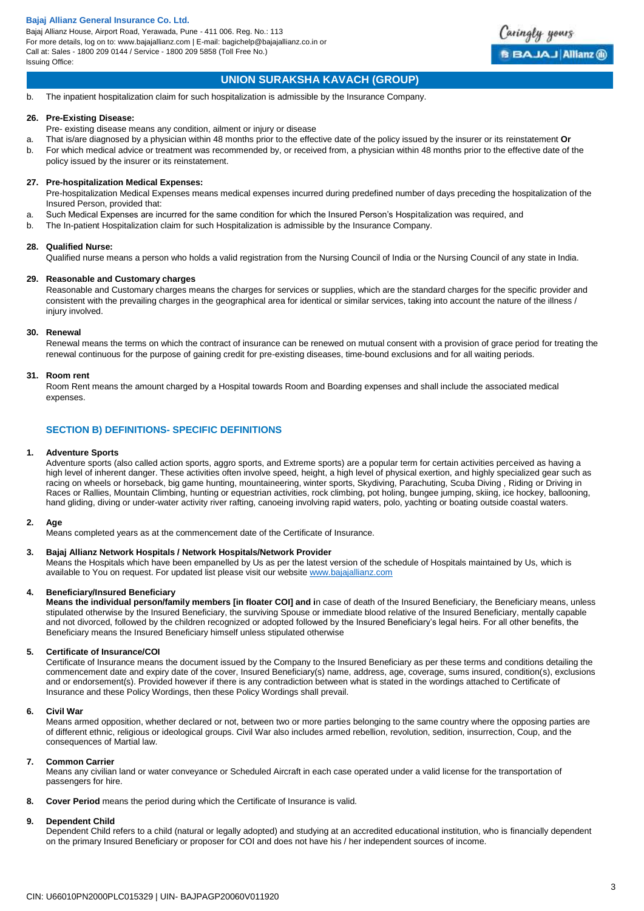Bajaj Allianz House, Airport Road, Yerawada, Pune - 411 006. Reg. No.: 113 For more details, log on to: www.bajajallianz.com | E-mail: bagichelp@bajajallianz.co.in or Call at: Sales - 1800 209 0144 / Service - 1800 209 5858 (Toll Free No.) Issuing Office:



# **UNION SURAKSHA KAVACH (GROUP)**

b. The inpatient hospitalization claim for such hospitalization is admissible by the Insurance Company.

#### **26. Pre-Existing Disease:**

- Pre- existing disease means any condition, ailment or injury or disease
- a. That is/are diagnosed by a physician within 48 months prior to the effective date of the policy issued by the insurer or its reinstatement **Or** b. For which medical advice or treatment was recommended by, or received from, a physician within 48 months prior to the effective date of the policy issued by the insurer or its reinstatement.

### **27. Pre-hospitalization Medical Expenses:**

Pre-hospitalization Medical Expenses means medical expenses incurred during predefined number of days preceding the hospitalization of the Insured Person, provided that:

- a. Such Medical Expenses are incurred for the same condition for which the Insured Person's Hospitalization was required, and
- b. The In-patient Hospitalization claim for such Hospitalization is admissible by the Insurance Company.

#### **28. Qualified Nurse:**

Qualified nurse means a person who holds a valid registration from the Nursing Council of India or the Nursing Council of any state in India.

#### **29. Reasonable and Customary charges**

Reasonable and Customary charges means the charges for services or supplies, which are the standard charges for the specific provider and consistent with the prevailing charges in the geographical area for identical or similar services, taking into account the nature of the illness / injury involved.

# **30. Renewal**

Renewal means the terms on which the contract of insurance can be renewed on mutual consent with a provision of grace period for treating the renewal continuous for the purpose of gaining credit for pre-existing diseases, time-bound exclusions and for all waiting periods.

# **31. Room rent**

Room Rent means the amount charged by a Hospital towards Room and Boarding expenses and shall include the associated medical expenses.

# **SECTION B) DEFINITIONS- SPECIFIC DEFINITIONS**

#### **1. Adventure Sports**

Adventure sports (also called action sports, aggro sports, and Extreme sports) are a popular term for certain activities perceived as having a high level of inherent danger. These activities often involve speed, height, a high level of physical exertion, and highly specialized gear such as racing on wheels or horseback, big game hunting, mountaineering, winter sports, Skydiving, Parachuting, Scuba Diving, Riding or Driving in Races or Rallies, Mountain Climbing, hunting or equestrian activities, rock climbing, pot holing, bungee jumping, skiing, ice hockey, ballooning, hand gliding, diving or under-water activity river rafting, canoeing involving rapid waters, polo, yachting or boating outside coastal waters.

# **2. Age**

Means completed years as at the commencement date of the Certificate of Insurance.

#### **3. Bajaj Allianz Network Hospitals / Network Hospitals/Network Provider**

Means the Hospitals which have been empanelled by Us as per the latest version of the schedule of Hospitals maintained by Us, which is available to You on request. For updated list please visit our websit[e www.bajajallianz.com](http://www.bajajallianz.com/)

# **4. Beneficiary/Insured Beneficiary**

**Means the individual person/family members [in floater COI] and i**n case of death of the Insured Beneficiary, the Beneficiary means, unless stipulated otherwise by the Insured Beneficiary, the surviving Spouse or immediate blood relative of the Insured Beneficiary, mentally capable and not divorced, followed by the children recognized or adopted followed by the Insured Beneficiary's legal heirs. For all other benefits, the Beneficiary means the Insured Beneficiary himself unless stipulated otherwise

# **5. Certificate of Insurance/COI**

Certificate of Insurance means the document issued by the Company to the Insured Beneficiary as per these terms and conditions detailing the commencement date and expiry date of the cover, Insured Beneficiary(s) name, address, age, coverage, sums insured, condition(s), exclusions and or endorsement(s). Provided however if there is any contradiction between what is stated in the wordings attached to Certificate of Insurance and these Policy Wordings, then these Policy Wordings shall prevail.

# **6. Civil War**

Means armed opposition, whether declared or not, between two or more parties belonging to the same country where the opposing parties are of different ethnic, religious or ideological groups. Civil War also includes armed rebellion, revolution, sedition, insurrection, Coup, and the consequences of Martial law.

#### **7. Common Carrier**

Means any civilian land or water conveyance or Scheduled Aircraft in each case operated under a valid license for the transportation of passengers for hire.

**8. Cover Period** means the period during which the Certificate of Insurance is valid.

#### **9. Dependent Child**

Dependent Child refers to a child (natural or legally adopted) and studying at an accredited educational institution, who is financially dependent on the primary Insured Beneficiary or proposer for COI and does not have his / her independent sources of income.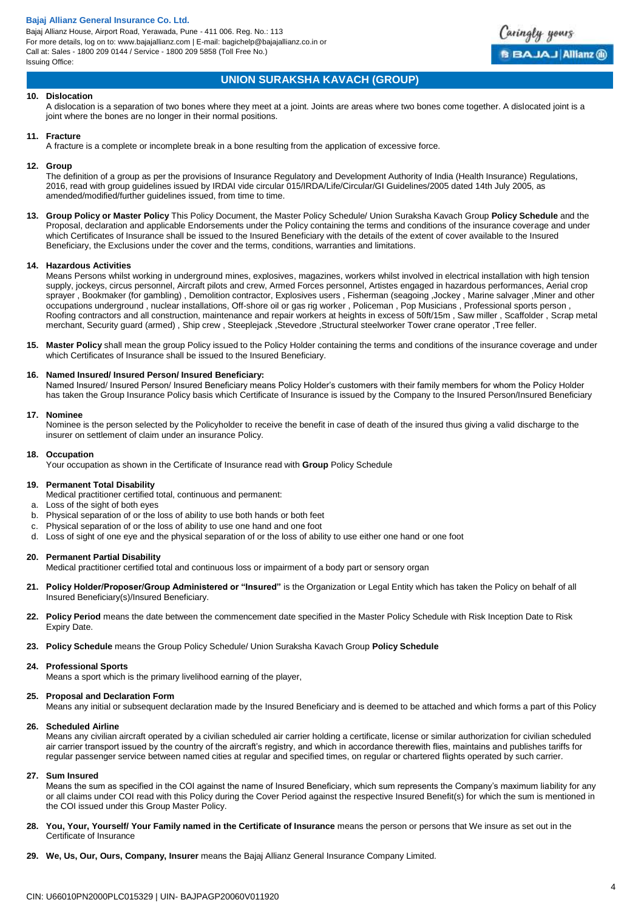Bajaj Allianz House, Airport Road, Yerawada, Pune - 411 006. Reg. No.: 113 For more details, log on to: www.bajajallianz.com | E-mail: bagichelp@bajajallianz.co.in or Call at: Sales - 1800 209 0144 / Service - 1800 209 5858 (Toll Free No.) Issuing Office:



# **UNION SURAKSHA KAVACH (GROUP)**

#### **10. Dislocation**

A dislocation is a separation of two bones where they meet at a joint. Joints are areas where two bones come together. A dislocated joint is a joint where the bones are no longer in their normal positions.

#### **11. Fracture**

A fracture is a complete or incomplete break in a bone resulting from the application of excessive force.

#### **12. Group**

The definition of a group as per the provisions of Insurance Regulatory and Development Authority of India (Health Insurance) Regulations, 2016, read with group guidelines issued by IRDAI vide circular 015/IRDA/Life/Circular/GI Guidelines/2005 dated 14th July 2005, as amended/modified/further guidelines issued, from time to time.

**13. Group Policy or Master Policy** This Policy Document, the Master Policy Schedule/ Union Suraksha Kavach Group **Policy Schedule** and the Proposal, declaration and applicable Endorsements under the Policy containing the terms and conditions of the insurance coverage and under which Certificates of Insurance shall be issued to the Insured Beneficiary with the details of the extent of cover available to the Insured Beneficiary, the Exclusions under the cover and the terms, conditions, warranties and limitations.

#### **14. Hazardous Activities**

Means Persons whilst working in underground mines, explosives, magazines, workers whilst involved in electrical installation with high tension supply, jockeys, circus personnel, Aircraft pilots and crew, Armed Forces personnel, Artistes engaged in hazardous performances, Aerial crop sprayer , Bookmaker (for gambling) , Demolition contractor, Explosives users , Fisherman (seagoing ,Jockey , Marine salvager ,Miner and other occupations underground, nuclear installations, Off-shore oil or gas rig worker, Policeman, Pop Musicians, Professional sports person, Roofing contractors and all construction, maintenance and repair workers at heights in excess of 50ft/15m , Saw miller , Scaffolder , Scrap metal merchant, Security guard (armed) , Ship crew , Steeplejack ,Stevedore ,Structural steelworker Tower crane operator ,Tree feller.

**15. Master Policy** shall mean the group Policy issued to the Policy Holder containing the terms and conditions of the insurance coverage and under which Certificates of Insurance shall be issued to the Insured Beneficiary.

#### **16. Named Insured/ Insured Person/ Insured Beneficiary:**

Named Insured/ Insured Person/ Insured Beneficiary means Policy Holder's customers with their family members for whom the Policy Holder has taken the Group Insurance Policy basis which Certificate of Insurance is issued by the Company to the Insured Person/Insured Beneficiary

#### **17. Nominee**

Nominee is the person selected by the Policyholder to receive the benefit in case of death of the insured thus giving a valid discharge to the insurer on settlement of claim under an insurance Policy.

#### **18. Occupation**

Your occupation as shown in the Certificate of Insurance read with **Group** Policy Schedule

# **19. Permanent Total Disability**

- Medical practitioner certified total, continuous and permanent:
- a. Loss of the sight of both eyes
- b. Physical separation of or the loss of ability to use both hands or both feet
- c. Physical separation of or the loss of ability to use one hand and one foot
- d. Loss of sight of one eye and the physical separation of or the loss of ability to use either one hand or one foot

# **20. Permanent Partial Disability**

Medical practitioner certified total and continuous loss or impairment of a body part or sensory organ

- **21. Policy Holder/Proposer/Group Administered or "Insured"** is the Organization or Legal Entity which has taken the Policy on behalf of all Insured Beneficiary(s)/Insured Beneficiary.
- **22. Policy Period** means the date between the commencement date specified in the Master Policy Schedule with Risk Inception Date to Risk Expiry Date.
- **23. Policy Schedule** means the Group Policy Schedule/ Union Suraksha Kavach Group **Policy Schedule**

# **24. Professional Sports**

Means a sport which is the primary livelihood earning of the player,

# **25. Proposal and Declaration Form**

Means any initial or subsequent declaration made by the Insured Beneficiary and is deemed to be attached and which forms a part of this Policy

# **26. Scheduled Airline**

Means any civilian aircraft operated by a civilian scheduled air carrier holding a certificate, license or similar authorization for civilian scheduled air carrier transport issued by the country of the aircraft's registry, and which in accordance therewith flies, maintains and publishes tariffs for regular passenger service between named cities at regular and specified times, on regular or chartered flights operated by such carrier.

#### **27. Sum Insured**

Means the sum as specified in the COI against the name of Insured Beneficiary, which sum represents the Company's maximum liability for any or all claims under COI read with this Policy during the Cover Period against the respective Insured Benefit(s) for which the sum is mentioned in the COI issued under this Group Master Policy.

- 28. You, Your, Yourself/ Your Family named in the Certificate of Insurance means the person or persons that We insure as set out in the Certificate of Insurance
- **29. We, Us, Our, Ours, Company, Insurer** means the Bajaj Allianz General Insurance Company Limited.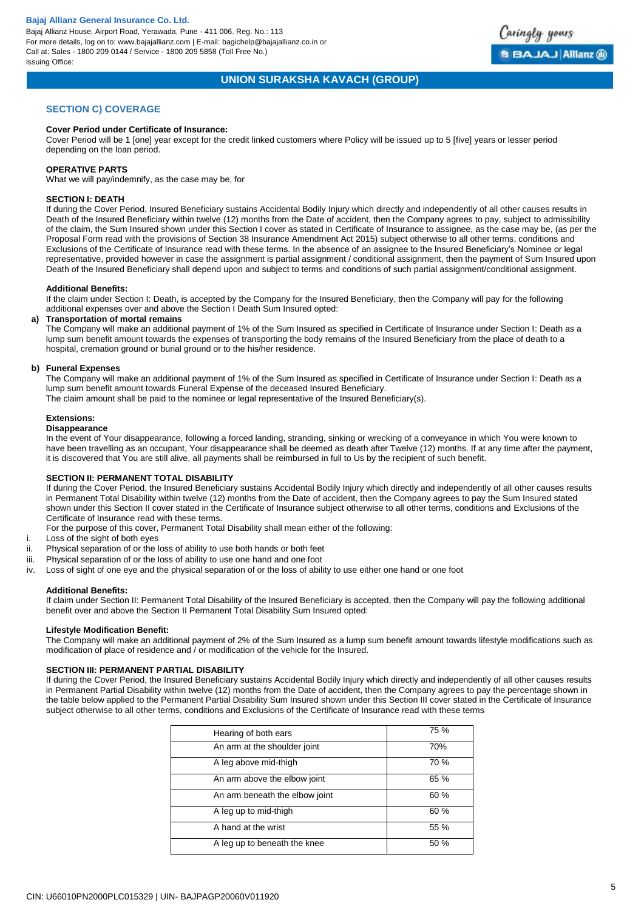Bajaj Allianz House, Airport Road, Yerawada, Pune - 411 006. Reg. No.: 113 For more details, log on to: www.bajajallianz.com | E-mail: bagichelp@bajajallianz.co.in or Call at: Sales - 1800 209 0144 / Service - 1800 209 5858 (Toll Free No.) Issuing Office:



# **UNION SURAKSHA KAVACH (GROUP)**

# **SECTION C) COVERAGE**

#### **Cover Period under Certificate of Insurance:**

Cover Period will be 1 [one] year except for the credit linked customers where Policy will be issued up to 5 [five] years or lesser period depending on the loan period.

#### **OPERATIVE PARTS**

What we will pay/indemnify, as the case may be, for

#### **SECTION I: DEATH**

If during the Cover Period, Insured Beneficiary sustains Accidental Bodily Injury which directly and independently of all other causes results in Death of the Insured Beneficiary within twelve (12) months from the Date of accident, then the Company agrees to pay, subject to admissibility of the claim, the Sum Insured shown under this Section I cover as stated in Certificate of Insurance to assignee, as the case may be, (as per the Proposal Form read with the provisions of Section 38 Insurance Amendment Act 2015) subject otherwise to all other terms, conditions and Exclusions of the Certificate of Insurance read with these terms. In the absence of an assignee to the Insured Beneficiary's Nominee or legal representative, provided however in case the assignment is partial assignment / conditional assignment, then the payment of Sum Insured upon Death of the Insured Beneficiary shall depend upon and subject to terms and conditions of such partial assignment/conditional assignment.

#### **Additional Benefits:**

If the claim under Section I: Death, is accepted by the Company for the Insured Beneficiary, then the Company will pay for the following additional expenses over and above the Section I Death Sum Insured opted:

#### **a) Transportation of mortal remains**

The Company will make an additional payment of 1% of the Sum Insured as specified in Certificate of Insurance under Section I: Death as a lump sum benefit amount towards the expenses of transporting the body remains of the Insured Beneficiary from the place of death to a hospital, cremation ground or burial ground or to the his/her residence.

#### **b) Funeral Expenses**

The Company will make an additional payment of 1% of the Sum Insured as specified in Certificate of Insurance under Section I: Death as a lump sum benefit amount towards Funeral Expense of the deceased Insured Beneficiary.

The claim amount shall be paid to the nominee or legal representative of the Insured Beneficiary(s).

### **Extensions:**

#### **Disappearance**

In the event of Your disappearance, following a forced landing, stranding, sinking or wrecking of a conveyance in which You were known to have been travelling as an occupant, Your disappearance shall be deemed as death after Twelve (12) months. If at any time after the payment, it is discovered that You are still alive, all payments shall be reimbursed in full to Us by the recipient of such benefit.

### **SECTION II: PERMANENT TOTAL DISABILITY**

If during the Cover Period, the Insured Beneficiary sustains Accidental Bodily Injury which directly and independently of all other causes results in Permanent Total Disability within twelve (12) months from the Date of accident, then the Company agrees to pay the Sum Insured stated shown under this Section II cover stated in the Certificate of Insurance subject otherwise to all other terms, conditions and Exclusions of the Certificate of Insurance read with these terms.

- For the purpose of this cover, Permanent Total Disability shall mean either of the following:
- i. Loss of the sight of both eyes
- ii. Physical separation of or the loss of ability to use both hands or both feet
- iii. Physical separation of or the loss of ability to use one hand and one foot
- iv. Loss of sight of one eye and the physical separation of or the loss of ability to use either one hand or one foot

#### **Additional Benefits:**

If claim under Section II: Permanent Total Disability of the Insured Beneficiary is accepted, then the Company will pay the following additional benefit over and above the Section II Permanent Total Disability Sum Insured opted:

#### **Lifestyle Modification Benefit:**

The Company will make an additional payment of 2% of the Sum Insured as a lump sum benefit amount towards lifestyle modifications such as modification of place of residence and / or modification of the vehicle for the Insured.

#### **SECTION III: PERMANENT PARTIAL DISABILITY**

If during the Cover Period, the Insured Beneficiary sustains Accidental Bodily Injury which directly and independently of all other causes results in Permanent Partial Disability within twelve (12) months from the Date of accident, then the Company agrees to pay the percentage shown in the table below applied to the Permanent Partial Disability Sum Insured shown under this Section III cover stated in the Certificate of Insurance subject otherwise to all other terms, conditions and Exclusions of the Certificate of Insurance read with these terms

| Hearing of both ears           | 75 % |
|--------------------------------|------|
| An arm at the shoulder joint   | 70%  |
| A leg above mid-thigh          | 70 % |
| An arm above the elbow joint   | 65 % |
| An arm beneath the elbow joint | 60 % |
| A leg up to mid-thigh          | 60 % |
| A hand at the wrist            | 55 % |
| A leg up to beneath the knee   | 50 % |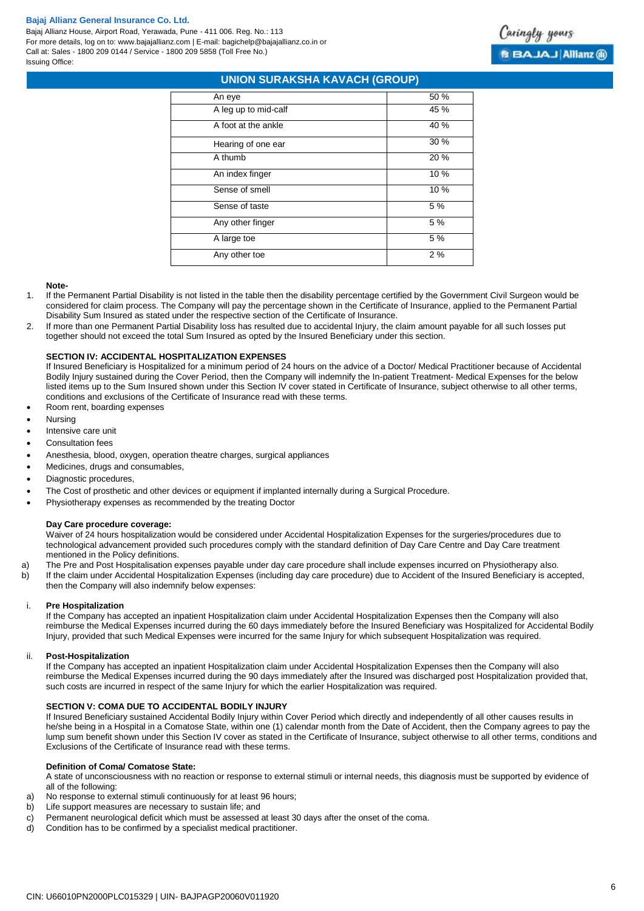Bajaj Allianz House, Airport Road, Yerawada, Pune - 411 006. Reg. No.: 113 For more details, log on to: www.bajajallianz.com | E-mail: bagichelp@bajajallianz.co.in or Call at: Sales - 1800 209 0144 / Service - 1800 209 5858 (Toll Free No.) Issuing Office:

# Caringly yours **BBAJAJ Allianz @**

# **UNION SURAKSHA KAVACH (GROUP)**

| An eye               | 50 % |
|----------------------|------|
| A leg up to mid-calf | 45 % |
| A foot at the ankle  | 40 % |
| Hearing of one ear   | 30%  |
| A thumb              | 20 % |
| An index finger      | 10 % |
| Sense of smell       | 10 % |
| Sense of taste       | 5 %  |
| Any other finger     | 5 %  |
| A large toe          | 5 %  |
| Any other toe        | 2%   |

#### **Note-**

- 1. If the Permanent Partial Disability is not listed in the table then the disability percentage certified by the Government Civil Surgeon would be considered for claim process. The Company will pay the percentage shown in the Certificate of Insurance, applied to the Permanent Partial Disability Sum Insured as stated under the respective section of the Certificate of Insurance.
- 2. If more than one Permanent Partial Disability loss has resulted due to accidental Injury, the claim amount payable for all such losses put together should not exceed the total Sum Insured as opted by the Insured Beneficiary under this section.

# **SECTION IV: ACCIDENTAL HOSPITALIZATION EXPENSES**

If Insured Beneficiary is Hospitalized for a minimum period of 24 hours on the advice of a Doctor/ Medical Practitioner because of Accidental Bodily Injury sustained during the Cover Period, then the Company will indemnify the In-patient Treatment- Medical Expenses for the below listed items up to the Sum Insured shown under this Section IV cover stated in Certificate of Insurance, subject otherwise to all other terms, conditions and exclusions of the Certificate of Insurance read with these terms.

- Room rent, boarding expenses
- Nursing
- Intensive care unit
- Consultation fees
- Anesthesia, blood, oxygen, operation theatre charges, surgical appliances
- Medicines, drugs and consumables,
- Diagnostic procedures,
- The Cost of prosthetic and other devices or equipment if implanted internally during a Surgical Procedure.
- Physiotherapy expenses as recommended by the treating Doctor

# **Day Care procedure coverage:**

Waiver of 24 hours hospitalization would be considered under Accidental Hospitalization Expenses for the surgeries/procedures due to technological advancement provided such procedures comply with the standard definition of Day Care Centre and Day Care treatment mentioned in the Policy definitions.

- a) The Pre and Post Hospitalisation expenses payable under day care procedure shall include expenses incurred on Physiotherapy also.
- b) If the claim under Accidental Hospitalization Expenses (including day care procedure) due to Accident of the Insured Beneficiary is accepted, then the Company will also indemnify below expenses:

### i. **Pre Hospitalization**

If the Company has accepted an inpatient Hospitalization claim under Accidental Hospitalization Expenses then the Company will also reimburse the Medical Expenses incurred during the 60 days immediately before the Insured Beneficiary was Hospitalized for Accidental Bodily Injury, provided that such Medical Expenses were incurred for the same Injury for which subsequent Hospitalization was required.

#### ii. **Post-Hospitalization**

If the Company has accepted an inpatient Hospitalization claim under Accidental Hospitalization Expenses then the Company will also reimburse the Medical Expenses incurred during the 90 days immediately after the Insured was discharged post Hospitalization provided that, such costs are incurred in respect of the same Injury for which the earlier Hospitalization was required.

# **SECTION V: COMA DUE TO ACCIDENTAL BODILY INJURY**

If Insured Beneficiary sustained Accidental Bodily Injury within Cover Period which directly and independently of all other causes results in he/she being in a Hospital in a Comatose State, within one (1) calendar month from the Date of Accident, then the Company agrees to pay the lump sum benefit shown under this Section IV cover as stated in the Certificate of Insurance, subject otherwise to all other terms, conditions and Exclusions of the Certificate of Insurance read with these terms.

#### **Definition of Coma/ Comatose State:**

A state of unconsciousness with no reaction or response to external stimuli or internal needs, this diagnosis must be supported by evidence of all of the following:

- a) No response to external stimuli continuously for at least 96 hours;
- b) Life support measures are necessary to sustain life; and
- c) Permanent neurological deficit which must be assessed at least 30 days after the onset of the coma.
- d) Condition has to be confirmed by a specialist medical practitioner.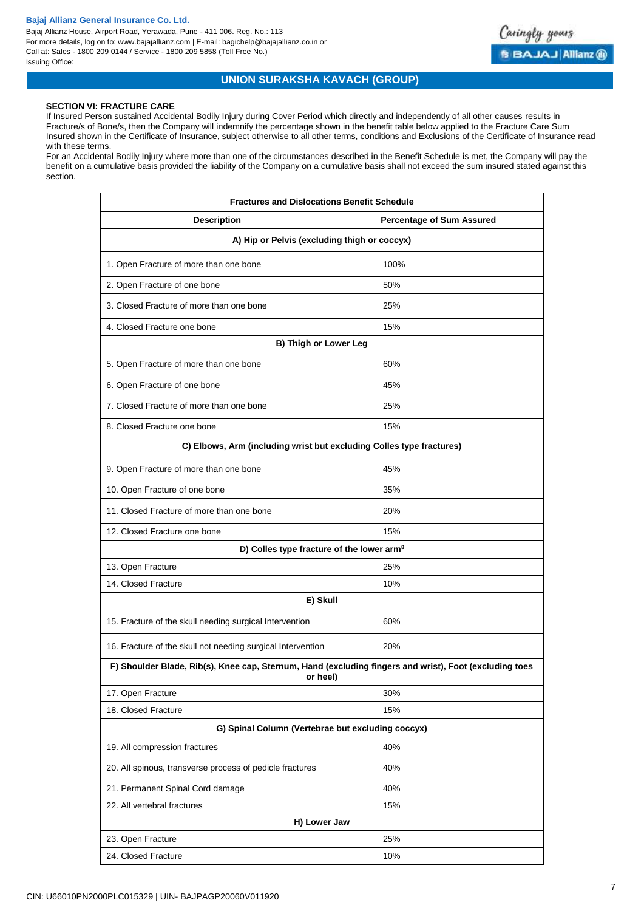Bajaj Allianz House, Airport Road, Yerawada, Pune - 411 006. Reg. No.: 113 For more details, log on to: www.bajajallianz.com | E-mail: bagichelp@bajajallianz.co.in or Call at: Sales - 1800 209 0144 / Service - 1800 209 5858 (Toll Free No.) Issuing Office:



# **UNION SURAKSHA KAVACH (GROUP)**

#### **SECTION VI: FRACTURE CARE**

If Insured Person sustained Accidental Bodily Injury during Cover Period which directly and independently of all other causes results in Fracture/s of Bone/s, then the Company will indemnify the percentage shown in the benefit table below applied to the Fracture Care Sum Insured shown in the Certificate of Insurance, subject otherwise to all other terms, conditions and Exclusions of the Certificate of Insurance read with these terms.

For an Accidental Bodily Injury where more than one of the circumstances described in the Benefit Schedule is met, the Company will pay the benefit on a cumulative basis provided the liability of the Company on a cumulative basis shall not exceed the sum insured stated against this section.

| <b>Fractures and Dislocations Benefit Schedule</b>                                                                 |                                  |  |  |
|--------------------------------------------------------------------------------------------------------------------|----------------------------------|--|--|
| <b>Description</b>                                                                                                 | <b>Percentage of Sum Assured</b> |  |  |
| A) Hip or Pelvis (excluding thigh or coccyx)                                                                       |                                  |  |  |
| 1. Open Fracture of more than one bone                                                                             | 100%                             |  |  |
| 2. Open Fracture of one bone                                                                                       | 50%                              |  |  |
| 3. Closed Fracture of more than one bone                                                                           | 25%                              |  |  |
| 4. Closed Fracture one bone                                                                                        | 15%                              |  |  |
| <b>B) Thigh or Lower Leg</b>                                                                                       |                                  |  |  |
| 5. Open Fracture of more than one bone                                                                             | 60%                              |  |  |
| 6. Open Fracture of one bone                                                                                       | 45%                              |  |  |
| 7. Closed Fracture of more than one bone                                                                           | 25%                              |  |  |
| 8. Closed Fracture one bone                                                                                        | 15%                              |  |  |
| C) Elbows, Arm (including wrist but excluding Colles type fractures)                                               |                                  |  |  |
| 9. Open Fracture of more than one bone                                                                             | 45%                              |  |  |
| 10. Open Fracture of one bone                                                                                      | 35%                              |  |  |
| 11. Closed Fracture of more than one bone                                                                          | 20%                              |  |  |
| 12. Closed Fracture one bone                                                                                       | 15%                              |  |  |
| D) Colles type fracture of the lower arm <sup>8</sup>                                                              |                                  |  |  |
| 13. Open Fracture                                                                                                  | 25%                              |  |  |
| 14. Closed Fracture                                                                                                | 10%                              |  |  |
| E) Skull                                                                                                           |                                  |  |  |
| 15. Fracture of the skull needing surgical Intervention                                                            | 60%                              |  |  |
| 16. Fracture of the skull not needing surgical Intervention                                                        | 20%                              |  |  |
| F) Shoulder Blade, Rib(s), Knee cap, Sternum, Hand (excluding fingers and wrist), Foot (excluding toes<br>or heel) |                                  |  |  |
| 17. Open Fracture                                                                                                  | 30%                              |  |  |
| 18. Closed Fracture                                                                                                | 15%                              |  |  |
| G) Spinal Column (Vertebrae but excluding coccyx)                                                                  |                                  |  |  |
| 19. All compression fractures                                                                                      | 40%                              |  |  |
| 20. All spinous, transverse process of pedicle fractures                                                           | 40%                              |  |  |
| 21. Permanent Spinal Cord damage                                                                                   | 40%                              |  |  |
| 22. All vertebral fractures                                                                                        | 15%                              |  |  |
| H) Lower Jaw                                                                                                       |                                  |  |  |
| 23. Open Fracture                                                                                                  | 25%                              |  |  |
| 24. Closed Fracture                                                                                                | 10%                              |  |  |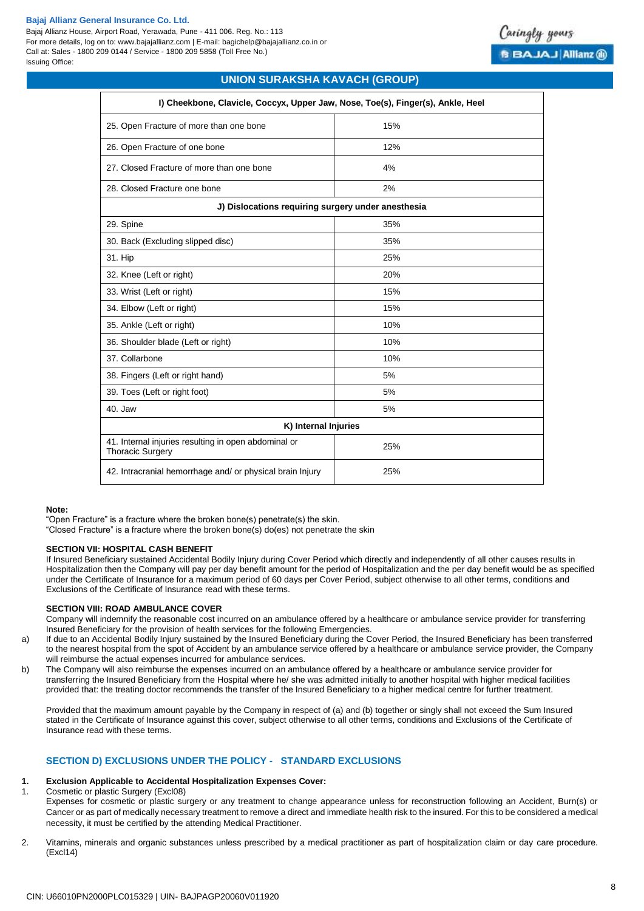Bajaj Allianz House, Airport Road, Yerawada, Pune - 411 006. Reg. No.: 113 For more details, log on to: www.bajajallianz.com | E-mail: bagichelp@bajajallianz.co.in or Call at: Sales - 1800 209 0144 / Service - 1800 209 5858 (Toll Free No.) Issuing Office:

# **UNION SURAKSHA KAVACH (GROUP)**

| I) Cheekbone, Clavicle, Coccyx, Upper Jaw, Nose, Toe(s), Finger(s), Ankle, Heel |     |  |  |
|---------------------------------------------------------------------------------|-----|--|--|
| 25. Open Fracture of more than one bone                                         | 15% |  |  |
| 26. Open Fracture of one bone                                                   | 12% |  |  |
| 27. Closed Fracture of more than one bone                                       | 4%  |  |  |
| 28. Closed Fracture one bone                                                    | 2%  |  |  |
| J) Dislocations requiring surgery under anesthesia                              |     |  |  |
| 29. Spine                                                                       | 35% |  |  |
| 30. Back (Excluding slipped disc)                                               | 35% |  |  |
| 31. Hip                                                                         | 25% |  |  |
| 32. Knee (Left or right)                                                        | 20% |  |  |
| 33. Wrist (Left or right)                                                       | 15% |  |  |
| 34. Elbow (Left or right)                                                       | 15% |  |  |
| 35. Ankle (Left or right)                                                       | 10% |  |  |
| 36. Shoulder blade (Left or right)                                              | 10% |  |  |
| 37. Collarbone                                                                  | 10% |  |  |
| 38. Fingers (Left or right hand)                                                | 5%  |  |  |
| 39. Toes (Left or right foot)                                                   | 5%  |  |  |
| 40. Jaw                                                                         | 5%  |  |  |
| K) Internal Injuries                                                            |     |  |  |
| 41. Internal injuries resulting in open abdominal or<br><b>Thoracic Surgery</b> | 25% |  |  |
| 42. Intracranial hemorrhage and/ or physical brain Injury                       | 25% |  |  |

#### **Note:**

"Open Fracture" is a fracture where the broken bone(s) penetrate(s) the skin.

"Closed Fracture" is a fracture where the broken bone(s) do(es) not penetrate the skin

# **SECTION VII: HOSPITAL CASH BENEFIT**

If Insured Beneficiary sustained Accidental Bodily Injury during Cover Period which directly and independently of all other causes results in Hospitalization then the Company will pay per day benefit amount for the period of Hospitalization and the per day benefit would be as specified under the Certificate of Insurance for a maximum period of 60 days per Cover Period, subject otherwise to all other terms, conditions and Exclusions of the Certificate of Insurance read with these terms.

# **SECTION VIII: ROAD AMBULANCE COVER**

Company will indemnify the reasonable cost incurred on an ambulance offered by a healthcare or ambulance service provider for transferring Insured Beneficiary for the provision of health services for the following Emergencies.

- a) If due to an Accidental Bodily Injury sustained by the Insured Beneficiary during the Cover Period, the Insured Beneficiary has been transferred to the nearest hospital from the spot of Accident by an ambulance service offered by a healthcare or ambulance service provider, the Company will reimburse the actual expenses incurred for ambulance services.
- b) The Company will also reimburse the expenses incurred on an ambulance offered by a healthcare or ambulance service provider for transferring the Insured Beneficiary from the Hospital where he/ she was admitted initially to another hospital with higher medical facilities provided that: the treating doctor recommends the transfer of the Insured Beneficiary to a higher medical centre for further treatment.

Provided that the maximum amount payable by the Company in respect of (a) and (b) together or singly shall not exceed the Sum Insured stated in the Certificate of Insurance against this cover, subject otherwise to all other terms, conditions and Exclusions of the Certificate of Insurance read with these terms.

# **SECTION D) EXCLUSIONS UNDER THE POLICY - STANDARD EXCLUSIONS**

# **1. Exclusion Applicable to Accidental Hospitalization Expenses Cover:**

# 1. Cosmetic or plastic Surgery (Excl08)

Expenses for cosmetic or plastic surgery or any treatment to change appearance unless for reconstruction following an Accident, Burn(s) or Cancer or as part of medically necessary treatment to remove a direct and immediate health risk to the insured. For this to be considered a medical necessity, it must be certified by the attending Medical Practitioner.

2. Vitamins, minerals and organic substances unless prescribed by a medical practitioner as part of hospitalization claim or day care procedure. (Excl14)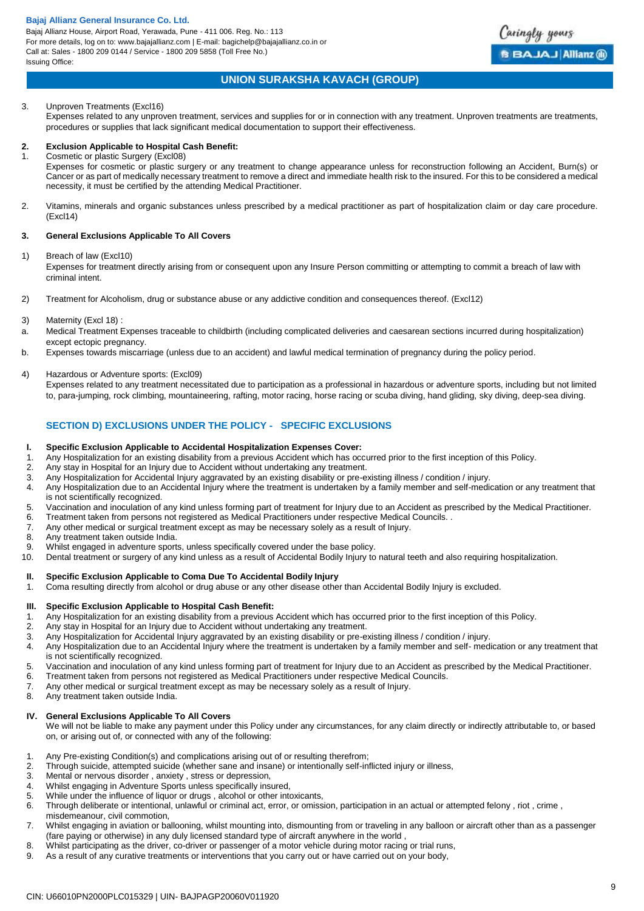Bajaj Allianz House, Airport Road, Yerawada, Pune - 411 006. Reg. No.: 113 For more details, log on to: www.bajajallianz.com | E-mail: bagichelp@bajajallianz.co.in or Call at: Sales - 1800 209 0144 / Service - 1800 209 5858 (Toll Free No.) Issuing Office:



# **UNION SURAKSHA KAVACH (GROUP)**

# 3. Unproven Treatments (Excl16)

Expenses related to any unproven treatment, services and supplies for or in connection with any treatment. Unproven treatments are treatments, procedures or supplies that lack significant medical documentation to support their effectiveness.

#### **2. Exclusion Applicable to Hospital Cash Benefit:**

1. Cosmetic or plastic Surgery (Excl08)

Expenses for cosmetic or plastic surgery or any treatment to change appearance unless for reconstruction following an Accident, Burn(s) or Cancer or as part of medically necessary treatment to remove a direct and immediate health risk to the insured. For this to be considered a medical necessity, it must be certified by the attending Medical Practitioner.

2. Vitamins, minerals and organic substances unless prescribed by a medical practitioner as part of hospitalization claim or day care procedure. (Excl14)

# **3. General Exclusions Applicable To All Covers**

1) Breach of law (Excl10)

Expenses for treatment directly arising from or consequent upon any Insure Person committing or attempting to commit a breach of law with criminal intent.

- 2) Treatment for Alcoholism, drug or substance abuse or any addictive condition and consequences thereof. (Excl12)
- 3) Maternity (Excl 18) :
- a. Medical Treatment Expenses traceable to childbirth (including complicated deliveries and caesarean sections incurred during hospitalization) except ectopic pregnancy.
- b. Expenses towards miscarriage (unless due to an accident) and lawful medical termination of pregnancy during the policy period.
- 4) Hazardous or Adventure sports: (Excl09)

Expenses related to any treatment necessitated due to participation as a professional in hazardous or adventure sports, including but not limited to, para-jumping, rock climbing, mountaineering, rafting, motor racing, horse racing or scuba diving, hand gliding, sky diving, deep-sea diving.

# **SECTION D) EXCLUSIONS UNDER THE POLICY - SPECIFIC EXCLUSIONS**

# **I. Specific Exclusion Applicable to Accidental Hospitalization Expenses Cover:**

- 1. Any Hospitalization for an existing disability from a previous Accident which has occurred prior to the first inception of this Policy.
- 2. Any stay in Hospital for an Injury due to Accident without undertaking any treatment.<br>3. Any Hospitalization for Accidental Injury aggravated by an existing disability or pre-e
- 3. Any Hospitalization for Accidental Injury aggravated by an existing disability or pre-existing illness / condition / injury.
- 4. Any Hospitalization due to an Accidental Injury where the treatment is undertaken by a family member and self-medication or any treatment that is not scientifically recognized.
- 5. Vaccination and inoculation of any kind unless forming part of treatment for Injury due to an Accident as prescribed by the Medical Practitioner.<br>6. Treatment taken from persons not registered as Medical Practitioners u
- 6. Treatment taken from persons not registered as Medical Practitioners under respective Medical Councils. .
- 7. Any other medical or surgical treatment except as may be necessary solely as a result of Injury.
- 8. Any treatment taken outside India.
- 9. Whilst engaged in adventure sports, unless specifically covered under the base policy.
- 10. Dental treatment or surgery of any kind unless as a result of Accidental Bodily Injury to natural teeth and also requiring hospitalization.

# **II. Specific Exclusion Applicable to Coma Due To Accidental Bodily Injury**

1. Coma resulting directly from alcohol or drug abuse or any other disease other than Accidental Bodily Injury is excluded.

# **III. Specific Exclusion Applicable to Hospital Cash Benefit:**

- 1. Any Hospitalization for an existing disability from a previous Accident which has occurred prior to the first inception of this Policy.
- 2. Any stay in Hospital for an Injury due to Accident without undertaking any treatment.
- 3. Any Hospitalization for Accidental Injury aggravated by an existing disability or pre-existing illness / condition / injury.
- 4. Any Hospitalization due to an Accidental Injury where the treatment is undertaken by a family member and self- medication or any treatment that is not scientifically recognized.
- 5. Vaccination and inoculation of any kind unless forming part of treatment for Injury due to an Accident as prescribed by the Medical Practitioner.
- 6. Treatment taken from persons not registered as Medical Practitioners under respective Medical Councils.
- 7. Any other medical or surgical treatment except as may be necessary solely as a result of Injury.
- 8. Any treatment taken outside India.

# **IV. General Exclusions Applicable To All Covers**

- We will not be liable to make any payment under this Policy under any circumstances, for any claim directly or indirectly attributable to, or based on, or arising out of, or connected with any of the following:
- 1. Any Pre-existing Condition(s) and complications arising out of or resulting therefrom;
- 2. Through suicide, attempted suicide (whether sane and insane) or intentionally self-inflicted injury or illness,
- 3. Mental or nervous disorder , anxiety , stress or depression,
- 4. Whilst engaging in Adventure Sports unless specifically insured,
- 5. While under the influence of liquor or drugs , alcohol or other intoxicants,
- 6. Through deliberate or intentional, unlawful or criminal act, error, or omission, participation in an actual or attempted felony , riot , crime , misdemeanour, civil commotion,
- 7. Whilst engaging in aviation or ballooning, whilst mounting into, dismounting from or traveling in any balloon or aircraft other than as a passenger (fare paying or otherwise) in any duly licensed standard type of aircraft anywhere in the world ,
- 8. Whilst participating as the driver, co-driver or passenger of a motor vehicle during motor racing or trial runs,
- 9. As a result of any curative treatments or interventions that you carry out or have carried out on your body,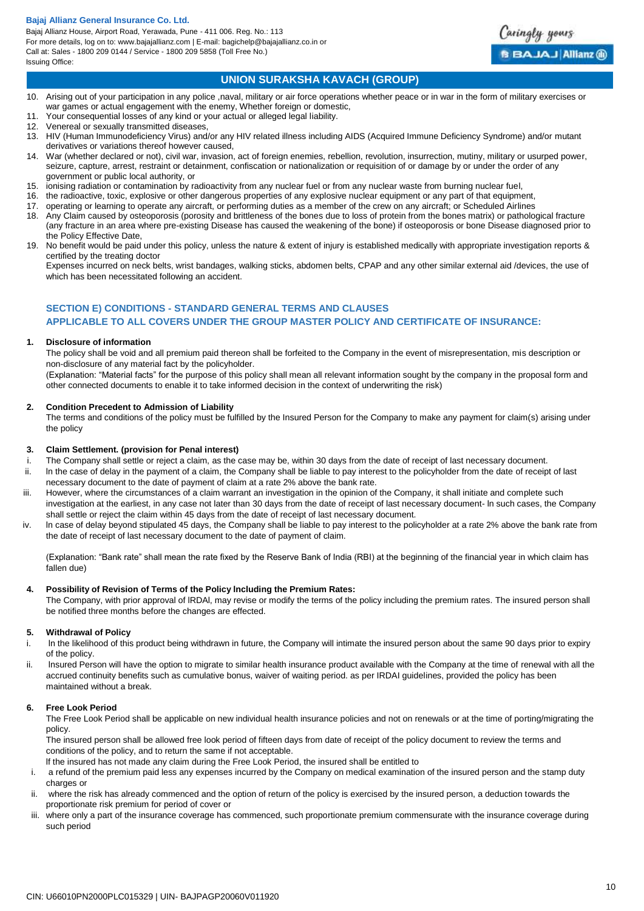Bajaj Allianz House, Airport Road, Yerawada, Pune - 411 006. Reg. No.: 113 For more details, log on to: www.bajajallianz.com | E-mail: bagichelp@bajajallianz.co.in or Call at: Sales - 1800 209 0144 / Service - 1800 209 5858 (Toll Free No.) Issuing Office:



Caringly yours

# **UNION SURAKSHA KAVACH (GROUP)**

- 10. Arising out of your participation in any police ,naval, military or air force operations whether peace or in war in the form of military exercises or war games or actual engagement with the enemy, Whether foreign or domestic,
- 11. Your consequential losses of any kind or your actual or alleged legal liability.<br>12. Venereal or sexually transmitted diseases.
- Venereal or sexually transmitted diseases,
- 13. HIV (Human Immunodeficiency Virus) and/or any HIV related illness including AIDS (Acquired Immune Deficiency Syndrome) and/or mutant derivatives or variations thereof however caused,
- 14. War (whether declared or not), civil war, invasion, act of foreign enemies, rebellion, revolution, insurrection, mutiny, military or usurped power, seizure, capture, arrest, restraint or detainment, confiscation or nationalization or requisition of or damage by or under the order of any government or public local authority, or
- 15. ionising radiation or contamination by radioactivity from any nuclear fuel or from any nuclear waste from burning nuclear fuel,
- 16. the radioactive, toxic, explosive or other dangerous properties of any explosive nuclear equipment or any part of that equipment,
- 17. operating or learning to operate any aircraft, or performing duties as a member of the crew on any aircraft; or Scheduled Airlines
- 18. Any Claim caused by osteoporosis (porosity and brittleness of the bones due to loss of protein from the bones matrix) or pathological fracture (any fracture in an area where pre-existing Disease has caused the weakening of the bone) if osteoporosis or bone Disease diagnosed prior to the Policy Effective Date,
- 19. No benefit would be paid under this policy, unless the nature & extent of injury is established medically with appropriate investigation reports & certified by the treating doctor

Expenses incurred on neck belts, wrist bandages, walking sticks, abdomen belts, CPAP and any other similar external aid /devices, the use of which has been necessitated following an accident.

# **SECTION E) CONDITIONS - STANDARD GENERAL TERMS AND CLAUSES APPLICABLE TO ALL COVERS UNDER THE GROUP MASTER POLICY AND CERTIFICATE OF INSURANCE:**

# **1. Disclosure of information**

The policy shall be void and all premium paid thereon shall be forfeited to the Company in the event of misrepresentation, mis description or non-disclosure of any material fact by the policyholder.

(Explanation: "Material facts" for the purpose of this policy shall mean all relevant information sought by the company in the proposal form and other connected documents to enable it to take informed decision in the context of underwriting the risk)

# **2. Condition Precedent to Admission of Liability**

The terms and conditions of the policy must be fulfilled by the Insured Person for the Company to make any payment for claim(s) arising under the policy

# **3. Claim Settlement. (provision for Penal interest)**

- The Company shall settle or reject a claim, as the case may be, within 30 days from the date of receipt of last necessary document.
- ii. In the case of delay in the payment of a claim, the Company shall be liable to pay interest to the policyholder from the date of receipt of last necessary document to the date of payment of claim at a rate 2% above the bank rate.
- iii. However, where the circumstances of a claim warrant an investigation in the opinion of the Company, it shall initiate and complete such investigation at the earliest, in any case not later than 30 days from the date of receipt of last necessary document- ln such cases, the Company shall settle or reject the claim within 45 days from the date of receipt of last necessary document.
- iv. ln case of delay beyond stipulated 45 days, the Company shall be liable to pay interest to the policyholder at a rate 2% above the bank rate from the date of receipt of last necessary document to the date of payment of claim.

(Explanation: "Bank rate" shall mean the rate fixed by the Reserve Bank of India (RBI) at the beginning of the financial year in which claim has fallen due)

# **4. Possibility of Revision of Terms of the Policy lncluding the Premium Rates:**

The Company, with prior approval of lRDAl, may revise or modify the terms of the policy including the premium rates. The insured person shall be notified three months before the changes are effected.

# **5. Withdrawal of Policy**

- i. ln the likelihood of this product being withdrawn in future, the Company will intimate the insured person about the same 90 days prior to expiry of the policy.
- ii. lnsured Person will have the option to migrate to similar health insurance product available with the Company at the time of renewal with all the accrued continuity benefits such as cumulative bonus, waiver of waiting period. as per IRDAI guidelines, provided the policy has been maintained without a break.

# **6. Free Look Period**

The Free Look Period shall be applicable on new individual health insurance policies and not on renewals or at the time of porting/migrating the policy.

The insured person shall be allowed free look period of fifteen days from date of receipt of the policy document to review the terms and conditions of the policy, and to return the same if not acceptable.

lf the insured has not made any claim during the Free Look Period, the insured shall be entitled to

- i. a refund of the premium paid less any expenses incurred by the Company on medical examination of the insured person and the stamp duty charges or
- ii. where the risk has already commenced and the option of return of the policy is exercised by the insured person, a deduction towards the proportionate risk premium for period of cover or
- iii. where only a part of the insurance coverage has commenced, such proportionate premium commensurate with the insurance coverage during such period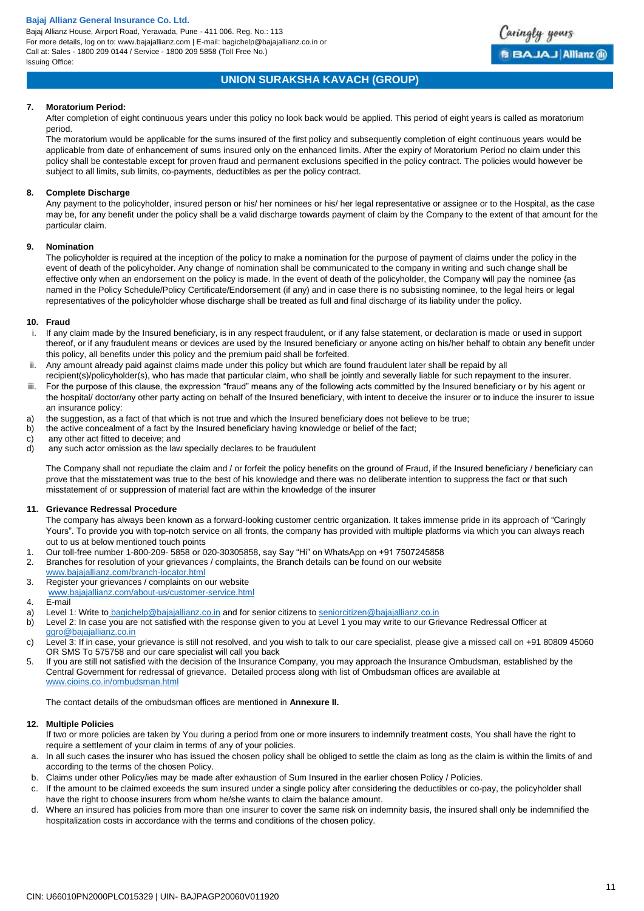Bajaj Allianz House, Airport Road, Yerawada, Pune - 411 006. Reg. No.: 113 For more details, log on to: www.bajajallianz.com | E-mail: bagichelp@bajajallianz.co.in or Call at: Sales - 1800 209 0144 / Service - 1800 209 5858 (Toll Free No.) Issuing Office:



# **UNION SURAKSHA KAVACH (GROUP)**

### **7. Moratorium Period:**

After completion of eight continuous years under this policy no look back would be applied. This period of eight years is called as moratorium period.

The moratorium would be applicable for the sums insured of the first policy and subsequently completion of eight continuous years would be applicable from date of enhancement of sums insured only on the enhanced limits. After the expiry of Moratorium Period no claim under this policy shall be contestable except for proven fraud and permanent exclusions specified in the policy contract. The policies would however be subject to all limits, sub limits, co-payments, deductibles as per the policy contract.

#### **8. Complete Discharge**

Any payment to the policyholder, insured person or his/ her nominees or his/ her legal representative or assignee or to the Hospital, as the case may be, for any benefit under the policy shall be a valid discharge towards payment of claim by the Company to the extent of that amount for the particular claim.

#### **9. Nomination**

The policyholder is required at the inception of the policy to make a nomination for the purpose of payment of claims under the policy in the event of death of the policyholder. Any change of nomination shall be communicated to the company in writing and such change shall be effective only when an endorsement on the policy is made. ln the event of death of the policyholder, the Company will pay the nominee {as named in the Policy Schedule/Policy Certificate/Endorsement (if any) and in case there is no subsisting nominee, to the legal heirs or legal representatives of the policyholder whose discharge shall be treated as full and final discharge of its liability under the policy.

#### **10. Fraud**

- i. If any claim made by the Insured beneficiary, is in any respect fraudulent, or if any false statement, or declaration is made or used in support thereof, or if any fraudulent means or devices are used by the Insured beneficiary or anyone acting on his/her behalf to obtain any benefit under this policy, all benefits under this policy and the premium paid shall be forfeited.
- ii. Any amount already paid against claims made under this policy but which are found fraudulent later shall be repaid by all
- recipient(s)/policyholder(s), who has made that particular claim, who shall be jointly and severally liable for such repayment to the insurer. iii. For the purpose of this clause, the expression "fraud" means any of the following acts committed by the Insured beneficiary or by his agent or the hospital/ doctor/any other party acting on behalf of the Insured beneficiary, with intent to deceive the insurer or to induce the insurer to issue an insurance policy:
- a) the suggestion, as a fact of that which is not true and which the Insured beneficiary does not believe to be true;<br>b) the active concealment of a fact by the Insured beneficiary having knowledge or belief of the fact:
- the active concealment of a fact by the Insured beneficiary having knowledge or belief of the fact:
- c) any other act fitted to deceive; and
- d) any such actor omission as the law specially declares to be fraudulent

The Company shall not repudiate the claim and / or forfeit the policy benefits on the ground of Fraud, if the Insured beneficiary / beneficiary can prove that the misstatement was true to the best of his knowledge and there was no deliberate intention to suppress the fact or that such misstatement of or suppression of material fact are within the knowledge of the insurer

#### **11. Grievance Redressal Procedure**

The company has always been known as a forward-looking customer centric organization. It takes immense pride in its approach of "Caringly Yours". To provide you with top-notch service on all fronts, the company has provided with multiple platforms via which you can always reach out to us at below mentioned touch points

- 1. Our toll-free number 1-800-209- 5858 or 020-30305858, say Say "Hi" on WhatsApp on +91 7507245858
- 2. Branches for resolution of your grievances / complaints, the Branch details can be found on our website
- [www.bajajallianz.com/branch-locator.html](http://www.bajajallianz.com/branch-locator.html)
- 3. Register your grievances / complaints on our website
- [www.bajajallianz.com/about-us/customer-service.html](http://www.bajajallianz.com/about-us/customer-service.html)
- 4. E-mail
- a) Level 1: Write to [bagichelp@bajajallianz.co.in](mailto:bagichelp@bajajallianz.co.in) and for senior citizens to [seniorcitizen@bajajallianz.co.in](mailto:seniorcitizen@bajajallianz.co.in)
- b) Level 2: In case you are not satisfied with the response given to you at Level 1 you may write to our Grievance Redressal Officer at [ggro@bajajallianz.co.in](mailto:ggro@bajajallianz.co.in)
- c) Level 3: If in case, your grievance is still not resolved, and you wish to talk to our care specialist, please give a missed call on +91 80809 45060 OR SMS To 575758 and our care specialist will call you back
- 5. If you are still not satisfied with the decision of the Insurance Company, you may approach the Insurance Ombudsman, established by the Central Government for redressal of grievance. Detailed process along with list of Ombudsman offices are available at [www.cioins.co.in/ombudsman.html](http://www.cioins.co.in/ombudsman.html)

The contact details of the ombudsman offices are mentioned in **Annexure II.** 

# **12. Multiple Policies**

- If two or more policies are taken by You during a period from one or more insurers to indemnify treatment costs, You shall have the right to require a settlement of your claim in terms of any of your policies.
- a. In all such cases the insurer who has issued the chosen policy shall be obliged to settle the claim as long as the claim is within the limits of and according to the terms of the chosen Policy.
- b. Claims under other Policy/ies may be made after exhaustion of Sum Insured in the earlier chosen Policy / Policies.
- If the amount to be claimed exceeds the sum insured under a single policy after considering the deductibles or co-pay, the policyholder shall have the right to choose insurers from whom he/she wants to claim the balance amount.
- d. Where an insured has policies from more than one insurer to cover the same risk on indemnity basis, the insured shall only be indemnified the hospitalization costs in accordance with the terms and conditions of the chosen policy.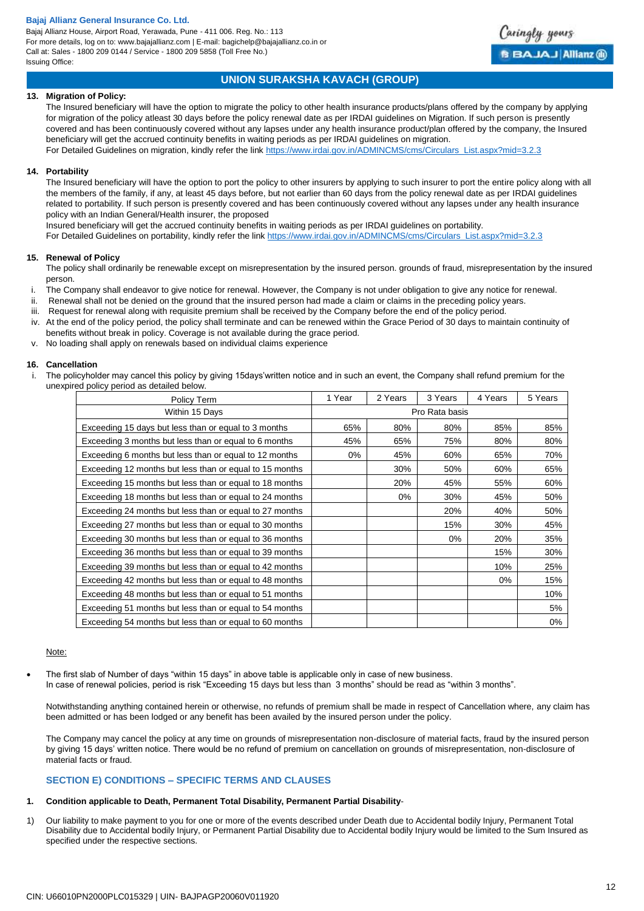Bajaj Allianz House, Airport Road, Yerawada, Pune - 411 006. Reg. No.: 113 For more details, log on to: www.bajajallianz.com | E-mail: bagichelp@bajajallianz.co.in or Call at: Sales - 1800 209 0144 / Service - 1800 209 5858 (Toll Free No.) Issuing Office:



# **UNION SURAKSHA KAVACH (GROUP)**

# **13. Migration of Policy:**

The Insured beneficiary will have the option to migrate the policy to other health insurance products/plans offered by the company by applying for migration of the policy atleast 30 days before the policy renewal date as per IRDAI guidelines on Migration. If such person is presently covered and has been continuously covered without any lapses under any health insurance product/plan offered by the company, the Insured beneficiary will get the accrued continuity benefits in waiting periods as per IRDAI guidelines on migration.

For Detailed Guidelines on migration, kindly refer the link [https://www.irdai.gov.in/ADMINCMS/cms/Circulars\\_List.aspx?mid=3.2.3](https://www.irdai.gov.in/ADMINCMS/cms/Circulars_List.aspx?mid=3.2.3)

# **14. Portability**

The Insured beneficiary will have the option to port the policy to other insurers by applying to such insurer to port the entire policy along with all the members of the family, if any, at least 45 days before, but not earlier than 60 days from the policy renewal date as per IRDAI guidelines related to portability. If such person is presently covered and has been continuously covered without any lapses under any health insurance policy with an Indian General/Health insurer, the proposed

Insured beneficiary will get the accrued continuity benefits in waiting periods as per IRDAI guidelines on portability.

For Detailed Guidelines on portability, kindly refer the lin[k https://www.irdai.gov.in/ADMINCMS/cms/Circulars\\_List.aspx?mid=3.2.3](https://www.irdai.gov.in/ADMINCMS/cms/Circulars_List.aspx?mid=3.2.3)

#### **15. Renewal of Policy**

The policy shall ordinarily be renewable except on misrepresentation by the insured person. grounds of fraud, misrepresentation by the insured person.

- i. The Company shall endeavor to give notice for renewal. However, the Company is not under obligation to give any notice for renewal.
- Renewal shall not be denied on the ground that the insured person had made a claim or claims in the preceding policy years.
- iii. Request for renewal along with requisite premium shall be received by the Company before the end of the policy period.
- iv. At the end of the policy period, the policy shall terminate and can be renewed within the Grace Period of 30 days to maintain continuity of benefits without break in policy. Coverage is not available during the grace period.
- v. No loading shall apply on renewals based on individual claims experience

#### **16. Cancellation**

The policyholder may cancel this policy by giving 15days'written notice and in such an event, the Company shall refund premium for the unexpired policy period as detailed below.

| Policy Term                                             | 1 Year         | 2 Years | 3 Years | 4 Years | 5 Years |
|---------------------------------------------------------|----------------|---------|---------|---------|---------|
| Within 15 Days                                          | Pro Rata basis |         |         |         |         |
| Exceeding 15 days but less than or equal to 3 months    | 65%            | 80%     | 80%     | 85%     | 85%     |
| Exceeding 3 months but less than or equal to 6 months   | 45%            | 65%     | 75%     | 80%     | 80%     |
| Exceeding 6 months but less than or equal to 12 months  | $0\%$          | 45%     | 60%     | 65%     | 70%     |
| Exceeding 12 months but less than or equal to 15 months |                | 30%     | 50%     | 60%     | 65%     |
| Exceeding 15 months but less than or equal to 18 months |                | 20%     | 45%     | 55%     | 60%     |
| Exceeding 18 months but less than or equal to 24 months |                | 0%      | 30%     | 45%     | 50%     |
| Exceeding 24 months but less than or equal to 27 months |                |         | 20%     | 40%     | 50%     |
| Exceeding 27 months but less than or equal to 30 months |                |         | 15%     | 30%     | 45%     |
| Exceeding 30 months but less than or equal to 36 months |                |         | $0\%$   | 20%     | 35%     |
| Exceeding 36 months but less than or equal to 39 months |                |         |         | 15%     | 30%     |
| Exceeding 39 months but less than or equal to 42 months |                |         |         | 10%     | 25%     |
| Exceeding 42 months but less than or equal to 48 months |                |         |         | $0\%$   | 15%     |
| Exceeding 48 months but less than or equal to 51 months |                |         |         |         | 10%     |
| Exceeding 51 months but less than or equal to 54 months |                |         |         |         | 5%      |
| Exceeding 54 months but less than or equal to 60 months |                |         |         |         | 0%      |

#### Note:

 The first slab of Number of days "within 15 days" in above table is applicable only in case of new business. In case of renewal policies, period is risk "Exceeding 15 days but less than 3 months" should be read as "within 3 months".

Notwithstanding anything contained herein or otherwise, no refunds of premium shall be made in respect of Cancellation where, any claim has been admitted or has been lodged or any benefit has been availed by the insured person under the policy.

The Company may cancel the policy at any time on grounds of misrepresentation non-disclosure of material facts, fraud by the insured person by giving 15 days' written notice. There would be no refund of premium on cancellation on grounds of misrepresentation, non-disclosure of material facts or fraud.

# **SECTION E) CONDITIONS – SPECIFIC TERMS AND CLAUSES**

# **1. Condition applicable to Death, Permanent Total Disability, Permanent Partial Disability**-

1) Our liability to make payment to you for one or more of the events described under Death due to Accidental bodily Injury, Permanent Total Disability due to Accidental bodily Injury, or Permanent Partial Disability due to Accidental bodily Injury would be limited to the Sum Insured as specified under the respective sections.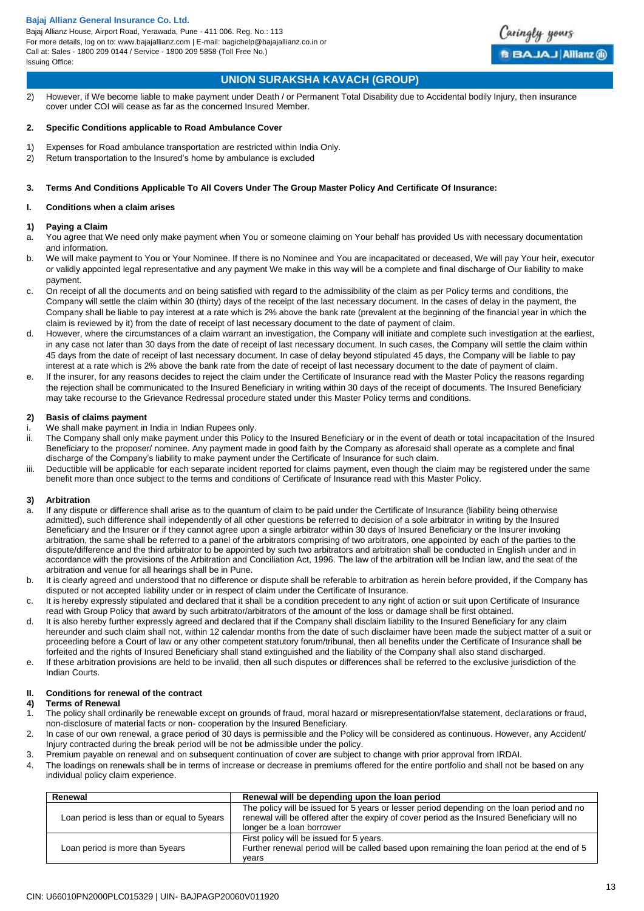Bajaj Allianz House, Airport Road, Yerawada, Pune - 411 006. Reg. No.: 113 For more details, log on to: www.bajajallianz.com | E-mail: bagichelp@bajajallianz.co.in or Call at: Sales - 1800 209 0144 / Service - 1800 209 5858 (Toll Free No.) Issuing Office:



# **UNION SURAKSHA KAVACH (GROUP)**

2) However, if We become liable to make payment under Death / or Permanent Total Disability due to Accidental bodily Injury, then insurance cover under COI will cease as far as the concerned Insured Member.

# **2. Specific Conditions applicable to Road Ambulance Cover**

- 1) Expenses for Road ambulance transportation are restricted within India Only.
- 2) Return transportation to the Insured's home by ambulance is excluded

# **3. Terms And Conditions Applicable To All Covers Under The Group Master Policy And Certificate Of Insurance:**

# **I. Conditions when a claim arises**

# **1) Paying a Claim**

- a. You agree that We need only make payment when You or someone claiming on Your behalf has provided Us with necessary documentation and information.
- b. We will make payment to You or Your Nominee. If there is no Nominee and You are incapacitated or deceased, We will pay Your heir, executor or validly appointed legal representative and any payment We make in this way will be a complete and final discharge of Our liability to make payment.
- c. On receipt of all the documents and on being satisfied with regard to the admissibility of the claim as per Policy terms and conditions, the Company will settle the claim within 30 (thirty) days of the receipt of the last necessary document. In the cases of delay in the payment, the Company shall be liable to pay interest at a rate which is 2% above the bank rate (prevalent at the beginning of the financial year in which the claim is reviewed by it) from the date of receipt of last necessary document to the date of payment of claim.
- d. However, where the circumstances of a claim warrant an investigation, the Company will initiate and complete such investigation at the earliest, in any case not later than 30 days from the date of receipt of last necessary document. In such cases, the Company will settle the claim within 45 days from the date of receipt of last necessary document. In case of delay beyond stipulated 45 days, the Company will be liable to pay interest at a rate which is 2% above the bank rate from the date of receipt of last necessary document to the date of payment of claim.
- e. If the insurer, for any reasons decides to reject the claim under the Certificate of Insurance read with the Master Policy the reasons regarding the rejection shall be communicated to the Insured Beneficiary in writing within 30 days of the receipt of documents. The Insured Beneficiary may take recourse to the Grievance Redressal procedure stated under this Master Policy terms and conditions.

# **2) Basis of claims payment**

- We shall make payment in India in Indian Rupees only.
- ii. The Company shall only make payment under this Policy to the Insured Beneficiary or in the event of death or total incapacitation of the Insured Beneficiary to the proposer/ nominee. Any payment made in good faith by the Company as aforesaid shall operate as a complete and final discharge of the Company's liability to make payment under the Certificate of Insurance for such claim.
- iii. Deductible will be applicable for each separate incident reported for claims payment, even though the claim may be registered under the same benefit more than once subject to the terms and conditions of Certificate of Insurance read with this Master Policy.

# **3) Arbitration**

- a. If any dispute or difference shall arise as to the quantum of claim to be paid under the Certificate of Insurance (liability being otherwise admitted), such difference shall independently of all other questions be referred to decision of a sole arbitrator in writing by the Insured Beneficiary and the Insurer or if they cannot agree upon a single arbitrator within 30 days of Insured Beneficiary or the Insurer invoking arbitration, the same shall be referred to a panel of the arbitrators comprising of two arbitrators, one appointed by each of the parties to the dispute/difference and the third arbitrator to be appointed by such two arbitrators and arbitration shall be conducted in English under and in accordance with the provisions of the Arbitration and Conciliation Act, 1996. The law of the arbitration will be Indian law, and the seat of the arbitration and venue for all hearings shall be in Pune.
- b. It is clearly agreed and understood that no difference or dispute shall be referable to arbitration as herein before provided, if the Company has disputed or not accepted liability under or in respect of claim under the Certificate of Insurance.
- c. It is hereby expressly stipulated and declared that it shall be a condition precedent to any right of action or suit upon Certificate of Insurance read with Group Policy that award by such arbitrator/arbitrators of the amount of the loss or damage shall be first obtained.
- d. It is also hereby further expressly agreed and declared that if the Company shall disclaim liability to the Insured Beneficiary for any claim hereunder and such claim shall not, within 12 calendar months from the date of such disclaimer have been made the subject matter of a suit or proceeding before a Court of law or any other competent statutory forum/tribunal, then all benefits under the Certificate of Insurance shall be forfeited and the rights of Insured Beneficiary shall stand extinguished and the liability of the Company shall also stand discharged.
- e. If these arbitration provisions are held to be invalid, then all such disputes or differences shall be referred to the exclusive jurisdiction of the Indian Courts.

# **II. Conditions for renewal of the contract**

# **4) Terms of Renewal**

- 1. The policy shall ordinarily be renewable except on grounds of fraud, moral hazard or misrepresentation/false statement, declarations or fraud, non-disclosure of material facts or non- cooperation by the Insured Beneficiary.
- 2. In case of our own renewal, a grace period of 30 days is permissible and the Policy will be considered as continuous. However, any Accident/ Injury contracted during the break period will be not be admissible under the policy.
- 3. Premium payable on renewal and on subsequent continuation of cover are subject to change with prior approval from IRDAI.
- 4. The loadings on renewals shall be in terms of increase or decrease in premiums offered for the entire portfolio and shall not be based on any individual policy claim experience.

| Renewal                                     | Renewal will be depending upon the loan period                                                                                                                                                                         |
|---------------------------------------------|------------------------------------------------------------------------------------------------------------------------------------------------------------------------------------------------------------------------|
| Loan period is less than or equal to 5years | The policy will be issued for 5 years or lesser period depending on the loan period and no<br>renewal will be offered after the expiry of cover period as the Insured Beneficiary will no<br>longer be a loan borrower |
| Loan period is more than 5years             | First policy will be issued for 5 years.<br>Further renewal period will be called based upon remaining the loan period at the end of 5<br>vears                                                                        |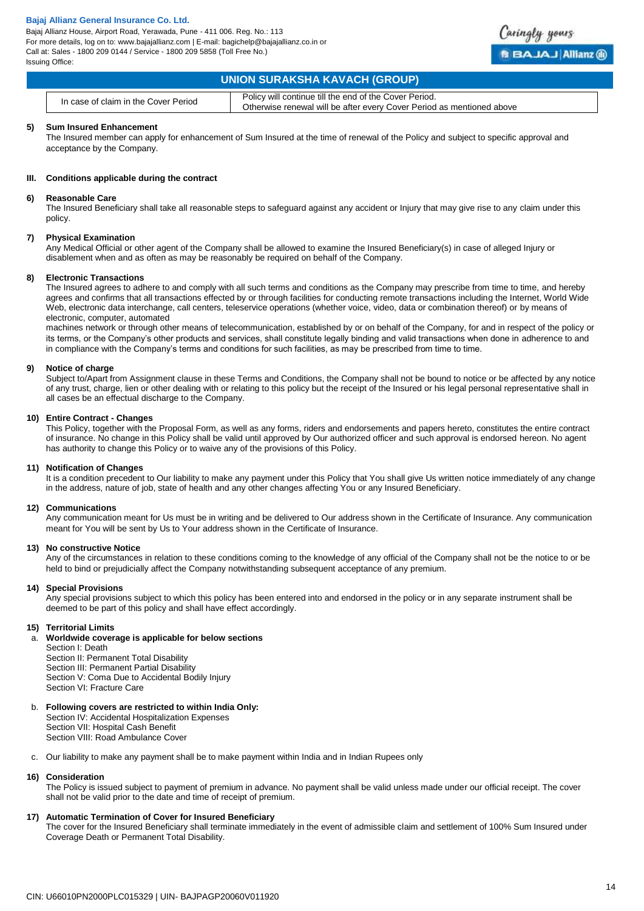Bajaj Allianz House, Airport Road, Yerawada, Pune - 411 006. Reg. No.: 113 For more details, log on to: www.bajajallianz.com | E-mail: bagichelp@bajajallianz.co.in or Call at: Sales - 1800 209 0144 / Service - 1800 209 5858 (Toll Free No.) Issuing Office:



# **UNION SURAKSHA KAVACH (GROUP)**

| Period<br>claim<br>in the <b>u</b><br>Cover<br>case of | Policy will continue till the end of the Cover Period.<br>Otherwise renewal will be after every Cover Period as mentioned above |
|--------------------------------------------------------|---------------------------------------------------------------------------------------------------------------------------------|

#### **5) Sum Insured Enhancement**

The Insured member can apply for enhancement of Sum Insured at the time of renewal of the Policy and subject to specific approval and acceptance by the Company.

#### **III. Conditions applicable during the contract**

#### **6) Reasonable Care**

The Insured Beneficiary shall take all reasonable steps to safeguard against any accident or Injury that may give rise to any claim under this policy.

#### **7) Physical Examination**

Any Medical Official or other agent of the Company shall be allowed to examine the Insured Beneficiary(s) in case of alleged Injury or disablement when and as often as may be reasonably be required on behalf of the Company.

#### **8) Electronic Transactions**

The Insured agrees to adhere to and comply with all such terms and conditions as the Company may prescribe from time to time, and hereby agrees and confirms that all transactions effected by or through facilities for conducting remote transactions including the Internet, World Wide Web, electronic data interchange, call centers, teleservice operations (whether voice, video, data or combination thereof) or by means of electronic, computer, automated

machines network or through other means of telecommunication, established by or on behalf of the Company, for and in respect of the policy or its terms, or the Company's other products and services, shall constitute legally binding and valid transactions when done in adherence to and in compliance with the Company's terms and conditions for such facilities, as may be prescribed from time to time.

#### **9) Notice of charge**

Subject to/Apart from Assignment clause in these Terms and Conditions, the Company shall not be bound to notice or be affected by any notice of any trust, charge, lien or other dealing with or relating to this policy but the receipt of the Insured or his legal personal representative shall in all cases be an effectual discharge to the Company.

### **10) Entire Contract - Changes**

This Policy, together with the Proposal Form, as well as any forms, riders and endorsements and papers hereto, constitutes the entire contract of insurance. No change in this Policy shall be valid until approved by Our authorized officer and such approval is endorsed hereon. No agent has authority to change this Policy or to waive any of the provisions of this Policy.

#### **11) Notification of Changes**

It is a condition precedent to Our liability to make any payment under this Policy that You shall give Us written notice immediately of any change in the address, nature of job, state of health and any other changes affecting You or any Insured Beneficiary.

#### **12) Communications**

Any communication meant for Us must be in writing and be delivered to Our address shown in the Certificate of Insurance. Any communication meant for You will be sent by Us to Your address shown in the Certificate of Insurance.

#### **13) No constructive Notice**

Any of the circumstances in relation to these conditions coming to the knowledge of any official of the Company shall not be the notice to or be held to bind or prejudicially affect the Company notwithstanding subsequent acceptance of any premium.

#### **14) Special Provisions**

Any special provisions subject to which this policy has been entered into and endorsed in the policy or in any separate instrument shall be deemed to be part of this policy and shall have effect accordingly.

#### **15) Territorial Limits**

# a. **Worldwide coverage is applicable for below sections**

Section I: Death Section II: Permanent Total Disability Section III: Permanent Partial Disability Section V: Coma Due to Accidental Bodily Injury Section VI: Fracture Care

# b. **Following covers are restricted to within India Only:**

Section IV: Accidental Hospitalization Expenses Section VII: Hospital Cash Benefit Section VIII: Road Ambulance Cover

c. Our liability to make any payment shall be to make payment within India and in Indian Rupees only

#### **16) Consideration**

The Policy is issued subject to payment of premium in advance. No payment shall be valid unless made under our official receipt. The cover shall not be valid prior to the date and time of receipt of premium.

#### **17) Automatic Termination of Cover for Insured Beneficiary**

The cover for the Insured Beneficiary shall terminate immediately in the event of admissible claim and settlement of 100% Sum Insured under Coverage Death or Permanent Total Disability.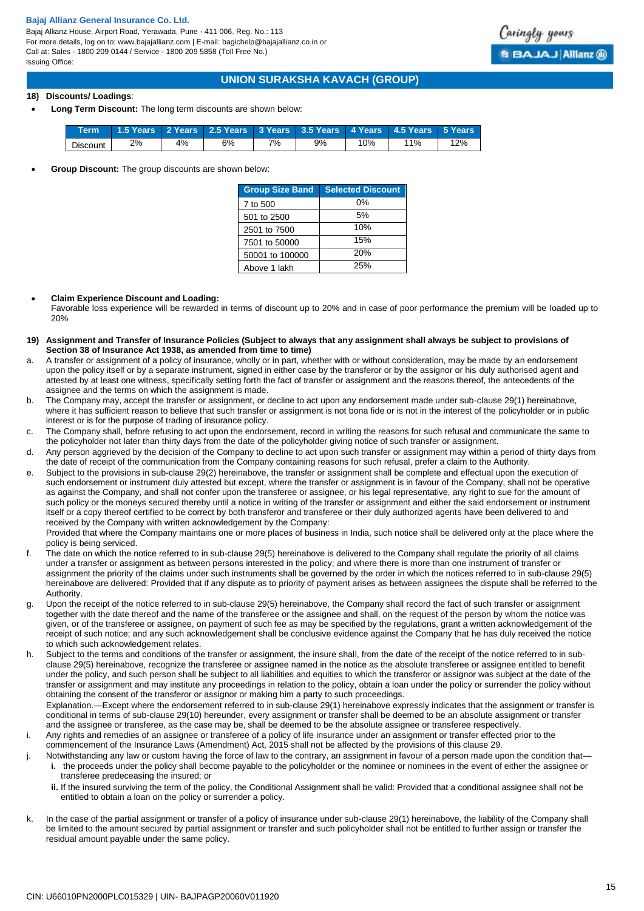Bajaj Allianz House, Airport Road, Yerawada, Pune - 411 006. Reg. No.: 113 For more details, log on to: www.bajajallianz.com | E-mail: bagichelp@bajajallianz.co.in or Call at: Sales - 1800 209 0144 / Service - 1800 209 5858 (Toll Free No.) Issuing Office:



# **UNION SURAKSHA KAVACH (GROUP)**

# **18) Discounts/ Loadings**:

**Long Term Discount:** The long term discounts are shown below:

| Term '   |    |    |    |    |    |     | 1.5 Years 2 Years 2.5 Years 3 Years 3.5 Years 4 Years 4.5 Years 5 Years |     |
|----------|----|----|----|----|----|-----|-------------------------------------------------------------------------|-----|
| Discount | 2% | 4% | 6% | 7% | 9% | 10% | 11%                                                                     | 12% |

**Group Discount:** The group discounts are shown below:

| <b>Group Size Band</b> | <b>Selected Discount</b> |
|------------------------|--------------------------|
| 7 to 500               | 0%                       |
| 501 to 2500            | .5%                      |
| 2501 to 7500           | 10%                      |
| 7501 to 50000          | 15%                      |
| 50001 to 100000        | 20%                      |
| Above 1 lakh           | 25%                      |

#### **Claim Experience Discount and Loading:**

Favorable loss experience will be rewarded in terms of discount up to 20% and in case of poor performance the premium will be loaded up to 20%

- **19) Assignment and Transfer of Insurance Policies (Subject to always that any assignment shall always be subject to provisions of Section 38 of Insurance Act 1938, as amended from time to time)**
- a. A transfer or assignment of a policy of insurance, wholly or in part, whether with or without consideration, may be made by an endorsement upon the policy itself or by a separate instrument, signed in either case by the transferor or by the assignor or his duly authorised agent and attested by at least one witness, specifically setting forth the fact of transfer or assignment and the reasons thereof, the antecedents of the assignee and the terms on which the assignment is made.
- b. The Company may, accept the transfer or assignment, or decline to act upon any endorsement made under sub-clause 29(1) hereinabove, where it has sufficient reason to believe that such transfer or assignment is not bona fide or is not in the interest of the policyholder or in public interest or is for the purpose of trading of insurance policy.
- c. The Company shall, before refusing to act upon the endorsement, record in writing the reasons for such refusal and communicate the same to the policyholder not later than thirty days from the date of the policyholder giving notice of such transfer or assignment.
- d. Any person aggrieved by the decision of the Company to decline to act upon such transfer or assignment may within a period of thirty days from the date of receipt of the communication from the Company containing reasons for such refusal, prefer a claim to the Authority.
- e. Subject to the provisions in sub-clause 29(2) hereinabove, the transfer or assignment shall be complete and effectual upon the execution of such endorsement or instrument duly attested but except, where the transfer or assignment is in favour of the Company, shall not be operative as against the Company, and shall not confer upon the transferee or assignee, or his legal representative, any right to sue for the amount of such policy or the moneys secured thereby until a notice in writing of the transfer or assignment and either the said endorsement or instrument itself or a copy thereof certified to be correct by both transferor and transferee or their duly authorized agents have been delivered to and received by the Company with written acknowledgement by the Company:

Provided that where the Company maintains one or more places of business in India, such notice shall be delivered only at the place where the policy is being serviced.

- f. The date on which the notice referred to in sub-clause 29(5) hereinabove is delivered to the Company shall regulate the priority of all claims under a transfer or assignment as between persons interested in the policy; and where there is more than one instrument of transfer or assignment the priority of the claims under such instruments shall be governed by the order in which the notices referred to in sub-clause 29(5) hereinabove are delivered: Provided that if any dispute as to priority of payment arises as between assignees the dispute shall be referred to the Authority.
- g. Upon the receipt of the notice referred to in sub-clause 29(5) hereinabove, the Company shall record the fact of such transfer or assignment together with the date thereof and the name of the transferee or the assignee and shall, on the request of the person by whom the notice was given, or of the transferee or assignee, on payment of such fee as may be specified by the regulations, grant a written acknowledgement of the receipt of such notice; and any such acknowledgement shall be conclusive evidence against the Company that he has duly received the notice to which such acknowledgement relates.
- h. Subject to the terms and conditions of the transfer or assignment, the insure shall, from the date of the receipt of the notice referred to in subclause 29(5) hereinabove, recognize the transferee or assignee named in the notice as the absolute transferee or assignee entitled to benefit under the policy, and such person shall be subject to all liabilities and equities to which the transferor or assignor was subject at the date of the transfer or assignment and may institute any proceedings in relation to the policy, obtain a loan under the policy or surrender the policy without obtaining the consent of the transferor or assignor or making him a party to such proceedings.

Explanation.—Except where the endorsement referred to in sub-clause 29(1) hereinabove expressly indicates that the assignment or transfer is conditional in terms of sub-clause 29(10) hereunder, every assignment or transfer shall be deemed to be an absolute assignment or transfer and the assignee or transferee, as the case may be, shall be deemed to be the absolute assignee or transferee respectively.

- i. Any rights and remedies of an assignee or transferee of a policy of life insurance under an assignment or transfer effected prior to the commencement of the Insurance Laws (Amendment) Act, 2015 shall not be affected by the provisions of this clause 29.
	- Notwithstanding any law or custom having the force of law to the contrary, an assignment in favour of a person made upon the condition that **i.** the proceeds under the policy shall become payable to the policyholder or the nominee or nominees in the event of either the assignee or transferee predeceasing the insured; or
		- **ii.** If the insured surviving the term of the policy, the Conditional Assignment shall be valid: Provided that a conditional assignee shall not be entitled to obtain a loan on the policy or surrender a policy.
- k. In the case of the partial assignment or transfer of a policy of insurance under sub-clause 29(1) hereinabove, the liability of the Company shall be limited to the amount secured by partial assignment or transfer and such policyholder shall not be entitled to further assign or transfer the residual amount payable under the same policy.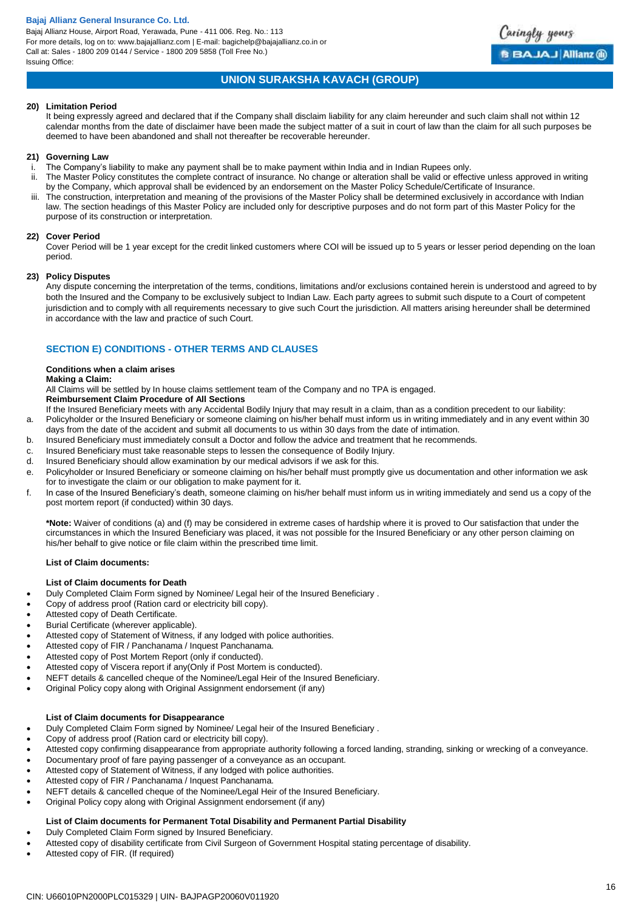Bajaj Allianz House, Airport Road, Yerawada, Pune - 411 006. Reg. No.: 113 For more details, log on to: www.bajajallianz.com | E-mail: bagichelp@bajajallianz.co.in or Call at: Sales - 1800 209 0144 / Service - 1800 209 5858 (Toll Free No.) Issuing Office:



# **UNION SURAKSHA KAVACH (GROUP)**

### **20) Limitation Period**

It being expressly agreed and declared that if the Company shall disclaim liability for any claim hereunder and such claim shall not within 12 calendar months from the date of disclaimer have been made the subject matter of a suit in court of law than the claim for all such purposes be deemed to have been abandoned and shall not thereafter be recoverable hereunder.

#### **21) Governing Law**

- The Company's liability to make any payment shall be to make payment within India and in Indian Rupees only.
- ii. The Master Policy constitutes the complete contract of insurance. No change or alteration shall be valid or effective unless approved in writing by the Company, which approval shall be evidenced by an endorsement on the Master Policy Schedule/Certificate of Insurance.
- iii. The construction, interpretation and meaning of the provisions of the Master Policy shall be determined exclusively in accordance with Indian law. The section headings of this Master Policy are included only for descriptive purposes and do not form part of this Master Policy for the purpose of its construction or interpretation.

# **22) Cover Period**

Cover Period will be 1 year except for the credit linked customers where COI will be issued up to 5 years or lesser period depending on the loan period.

#### **23) Policy Disputes**

Any dispute concerning the interpretation of the terms, conditions, limitations and/or exclusions contained herein is understood and agreed to by both the Insured and the Company to be exclusively subject to Indian Law. Each party agrees to submit such dispute to a Court of competent jurisdiction and to comply with all requirements necessary to give such Court the jurisdiction. All matters arising hereunder shall be determined in accordance with the law and practice of such Court.

# **SECTION E) CONDITIONS - OTHER TERMS AND CLAUSES**

#### **Conditions when a claim arises**

# **Making a Claim:**

All Claims will be settled by In house claims settlement team of the Company and no TPA is engaged.

- **Reimbursement Claim Procedure of All Sections**
- If the Insured Beneficiary meets with any Accidental Bodily Injury that may result in a claim, than as a condition precedent to our liability:
- a. Policyholder or the Insured Beneficiary or someone claiming on his/her behalf must inform us in writing immediately and in any event within 30 days from the date of the accident and submit all documents to us within 30 days from the date of intimation.
- b. Insured Beneficiary must immediately consult a Doctor and follow the advice and treatment that he recommends.
- c. Insured Beneficiary must take reasonable steps to lessen the consequence of Bodily Injury.
- d. Insured Beneficiary should allow examination by our medical advisors if we ask for this.
- e. Policyholder or Insured Beneficiary or someone claiming on his/her behalf must promptly give us documentation and other information we ask for to investigate the claim or our obligation to make payment for it.
- f. In case of the Insured Beneficiary's death, someone claiming on his/her behalf must inform us in writing immediately and send us a copy of the post mortem report (if conducted) within 30 days.

**\*Note:** Waiver of conditions (a) and (f) may be considered in extreme cases of hardship where it is proved to Our satisfaction that under the circumstances in which the Insured Beneficiary was placed, it was not possible for the Insured Beneficiary or any other person claiming on his/her behalf to give notice or file claim within the prescribed time limit.

#### **List of Claim documents:**

# **List of Claim documents for Death**

- Duly Completed Claim Form signed by Nominee/ Legal heir of the Insured Beneficiary .
- Copy of address proof (Ration card or electricity bill copy).
- Attested copy of Death Certificate.
- Burial Certificate (wherever applicable).
- Attested copy of Statement of Witness, if any lodged with police authorities.
- Attested copy of FIR / Panchanama / Inquest Panchanama.
- Attested copy of Post Mortem Report (only if conducted).
- Attested copy of Viscera report if any(Only if Post Mortem is conducted).
- NEFT details & cancelled cheque of the Nominee/Legal Heir of the Insured Beneficiary.
- Original Policy copy along with Original Assignment endorsement (if any)

# **List of Claim documents for Disappearance**

- Duly Completed Claim Form signed by Nominee/ Legal heir of the Insured Beneficiary .
- Copy of address proof (Ration card or electricity bill copy).
- Attested copy confirming disappearance from appropriate authority following a forced landing, stranding, sinking or wrecking of a conveyance.
- Documentary proof of fare paying passenger of a conveyance as an occupant.
- Attested copy of Statement of Witness, if any lodged with police authorities.
- Attested copy of FIR / Panchanama / Inquest Panchanama.
- NEFT details & cancelled cheque of the Nominee/Legal Heir of the Insured Beneficiary.
- Original Policy copy along with Original Assignment endorsement (if any)

# **List of Claim documents for Permanent Total Disability and Permanent Partial Disability**

- Duly Completed Claim Form signed by Insured Beneficiary.
- Attested copy of disability certificate from Civil Surgeon of Government Hospital stating percentage of disability.
- Attested copy of FIR. (If required)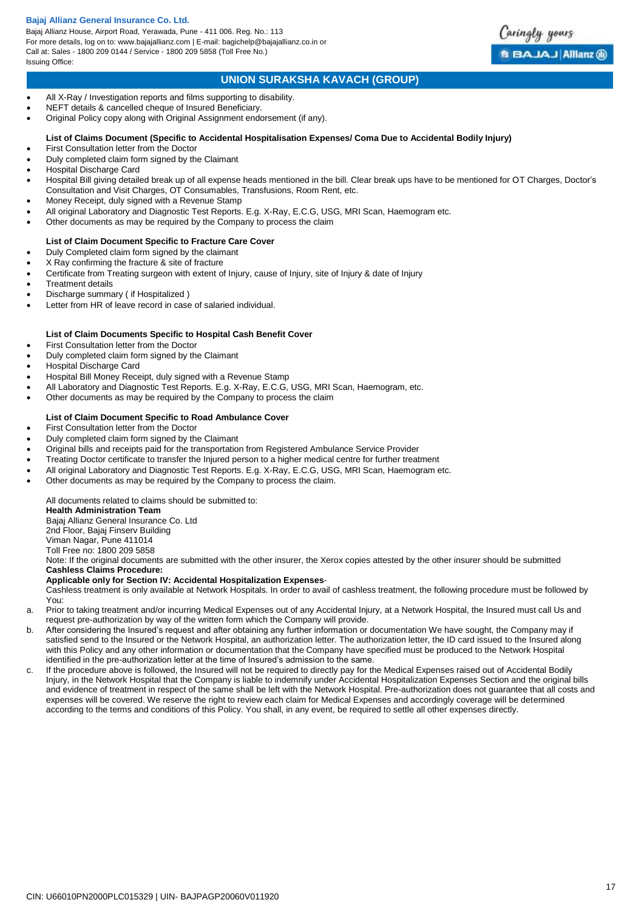Bajaj Allianz House, Airport Road, Yerawada, Pune - 411 006. Reg. No.: 113 For more details, log on to: www.bajajallianz.com | E-mail: bagichelp@bajajallianz.co.in or Call at: Sales - 1800 209 0144 / Service - 1800 209 5858 (Toll Free No.) Issuing Office:



# **UNION SURAKSHA KAVACH (GROUP)**

- All X-Ray / Investigation reports and films supporting to disability.
- NEFT details & cancelled cheque of Insured Beneficiary.
- Original Policy copy along with Original Assignment endorsement (if any).

# **List of Claims Document (Specific to Accidental Hospitalisation Expenses/ Coma Due to Accidental Bodily Injury)**

- First Consultation letter from the Doctor
- Duly completed claim form signed by the Claimant
- Hospital Discharge Card
- Hospital Bill giving detailed break up of all expense heads mentioned in the bill. Clear break ups have to be mentioned for OT Charges, Doctor's Consultation and Visit Charges, OT Consumables, Transfusions, Room Rent, etc.
- Money Receipt, duly signed with a Revenue Stamp
- All original Laboratory and Diagnostic Test Reports. E.g. X-Ray, E.C.G, USG, MRI Scan, Haemogram etc.
- Other documents as may be required by the Company to process the claim

# **List of Claim Document Specific to Fracture Care Cover**

- Duly Completed claim form signed by the claimant
- X Ray confirming the fracture & site of fracture
- Certificate from Treating surgeon with extent of Injury, cause of Injury, site of Injury & date of Injury
- Treatment details
- Discharge summary ( if Hospitalized )
- Letter from HR of leave record in case of salaried individual.

# **List of Claim Documents Specific to Hospital Cash Benefit Cover**

- First Consultation letter from the Doctor
- Duly completed claim form signed by the Claimant
- Hospital Discharge Card
- Hospital Bill Money Receipt, duly signed with a Revenue Stamp
- All Laboratory and Diagnostic Test Reports. E.g. X-Ray, E.C.G, USG, MRI Scan, Haemogram, etc.
- Other documents as may be required by the Company to process the claim

# **List of Claim Document Specific to Road Ambulance Cover**

- First Consultation letter from the Doctor
- Duly completed claim form signed by the Claimant
- Original bills and receipts paid for the transportation from Registered Ambulance Service Provider
- Treating Doctor certificate to transfer the Injured person to a higher medical centre for further treatment
- All original Laboratory and Diagnostic Test Reports. E.g. X-Ray, E.C.G, USG, MRI Scan, Haemogram etc.
- Other documents as may be required by the Company to process the claim.

All documents related to claims should be submitted to:

**Health Administration Team** 

Bajaj Allianz General Insurance Co. Ltd

- 2nd Floor, Bajaj Finserv Building
- Viman Nagar, Pune 411014
- Toll Free no: 1800 209 5858

Note: If the original documents are submitted with the other insurer, the Xerox copies attested by the other insurer should be submitted **Cashless Claims Procedure:** 

# **Applicable only for Section IV: Accidental Hospitalization Expenses**-

Cashless treatment is only available at Network Hospitals. In order to avail of cashless treatment, the following procedure must be followed by You:

- a. Prior to taking treatment and/or incurring Medical Expenses out of any Accidental Injury, at a Network Hospital, the Insured must call Us and request pre-authorization by way of the written form which the Company will provide.
- b. After considering the Insured's request and after obtaining any further information or documentation We have sought, the Company may if satisfied send to the Insured or the Network Hospital, an authorization letter. The authorization letter, the ID card issued to the Insured along with this Policy and any other information or documentation that the Company have specified must be produced to the Network Hospital identified in the pre-authorization letter at the time of Insured's admission to the same.
- c. If the procedure above is followed, the Insured will not be required to directly pay for the Medical Expenses raised out of Accidental Bodily Injury, in the Network Hospital that the Company is liable to indemnify under Accidental Hospitalization Expenses Section and the original bills and evidence of treatment in respect of the same shall be left with the Network Hospital. Pre-authorization does not guarantee that all costs and expenses will be covered. We reserve the right to review each claim for Medical Expenses and accordingly coverage will be determined according to the terms and conditions of this Policy. You shall, in any event, be required to settle all other expenses directly.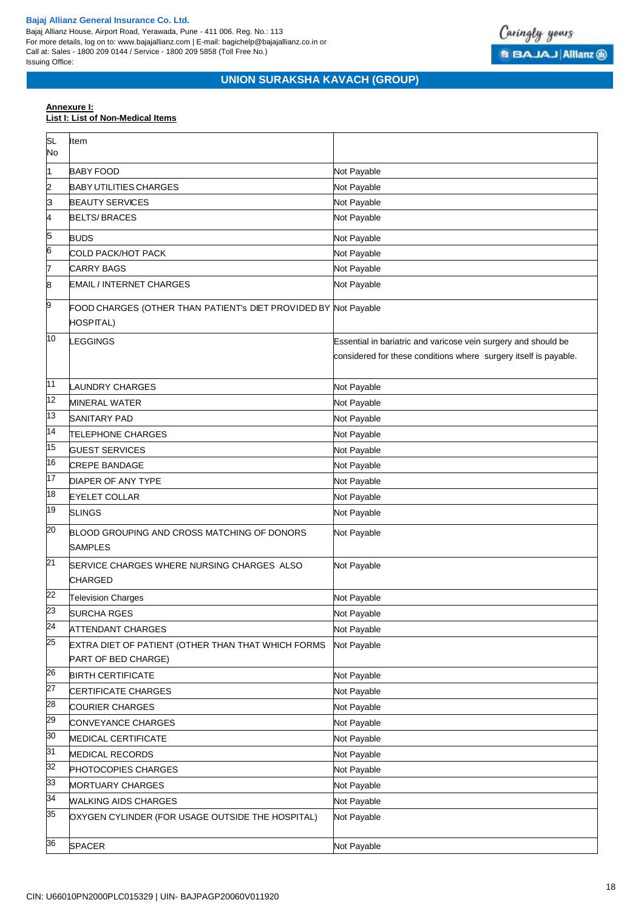Bajaj Allianz House, Airport Road, Yerawada, Pune - 411 006. Reg. No.: 113 For more details, log on to: www.bajajallianz.com | E-mail: bagichelp@bajajallianz.co.in or Call at: Sales - 1800 209 0144 / Service - 1800 209 5858 (Toll Free No.) Issuing Office:



# **UNION SURAKSHA KAVACH (GROUP)**

# **Annexure I:**

# **List I: List of Non-Medical Items**

| SL<br>No        | Item                                                                         |                                                                                                                                    |
|-----------------|------------------------------------------------------------------------------|------------------------------------------------------------------------------------------------------------------------------------|
| 1               | <b>BABY FOOD</b>                                                             | Not Payable                                                                                                                        |
| $\overline{c}$  | <b>BABY UTILITIES CHARGES</b>                                                | Not Payable                                                                                                                        |
| 3               | <b>BEAUTY SERVICES</b>                                                       | Not Payable                                                                                                                        |
| 4               | <b>BELTS/BRACES</b>                                                          | Not Payable                                                                                                                        |
| 5               | <b>BUDS</b>                                                                  | Not Payable                                                                                                                        |
| 6               | <b>COLD PACK/HOT PACK</b>                                                    | Not Payable                                                                                                                        |
| 7               | <b>CARRY BAGS</b>                                                            | Not Payable                                                                                                                        |
| 8               | <b>EMAIL / INTERNET CHARGES</b>                                              | Not Payable                                                                                                                        |
| 9               | FOOD CHARGES (OTHER THAN PATIENT's DIET PROVIDED BY Not Payable<br>HOSPITAL) |                                                                                                                                    |
| 10              | <b>EGGINGS</b>                                                               | Essential in bariatric and varicose vein surgery and should be<br>considered for these conditions where surgery itself is payable. |
| $\overline{11}$ | <b>LAUNDRY CHARGES</b>                                                       | Not Payable                                                                                                                        |
| 12              | <b>MINERAL WATER</b>                                                         | Not Payable                                                                                                                        |
| 13              | <b>SANITARY PAD</b>                                                          | Not Payable                                                                                                                        |
| 14              | <b>TELEPHONE CHARGES</b>                                                     | Not Payable                                                                                                                        |
| 15              | <b>GUEST SERVICES</b>                                                        | Not Payable                                                                                                                        |
| 16              | <b>CREPE BANDAGE</b>                                                         | Not Payable                                                                                                                        |
| 17              | <b>DIAPER OF ANY TYPE</b>                                                    | Not Payable                                                                                                                        |
| 18              | <b>EYELET COLLAR</b>                                                         | Not Payable                                                                                                                        |
| 19              | <b>SLINGS</b>                                                                | Not Payable                                                                                                                        |
| 20              | BLOOD GROUPING AND CROSS MATCHING OF DONORS<br><b>SAMPLES</b>                | Not Payable                                                                                                                        |
| 21              | SERVICE CHARGES WHERE NURSING CHARGES ALSO<br><b>CHARGED</b>                 | Not Payable                                                                                                                        |
| $\overline{22}$ | <b>Television Charges</b>                                                    | Not Payable                                                                                                                        |
| 23              | <b>SURCHA RGES</b>                                                           | Not Payable                                                                                                                        |
| 24              | <b>ATTENDANT CHARGES</b>                                                     | Not Payable                                                                                                                        |
| 25              | EXTRA DIET OF PATIENT (OTHER THAN THAT WHICH FORMS<br>PART OF BED CHARGE)    | Not Payable                                                                                                                        |
| 26              | <b>BIRTH CERTIFICATE</b>                                                     | Not Payable                                                                                                                        |
| $\overline{27}$ | CERTIFICATE CHARGES                                                          | Not Payable                                                                                                                        |
| 28              | <b>COURIER CHARGES</b>                                                       | Not Payable                                                                                                                        |
| 29              | CONVEYANCE CHARGES                                                           | Not Payable                                                                                                                        |
| 30              | MEDICAL CERTIFICATE                                                          | Not Payable                                                                                                                        |
| 31              | <b>MEDICAL RECORDS</b>                                                       | Not Payable                                                                                                                        |
| 32              | PHOTOCOPIES CHARGES                                                          | Not Payable                                                                                                                        |
| 33              | MORTUARY CHARGES                                                             | Not Payable                                                                                                                        |
| $\overline{34}$ | <b>WALKING AIDS CHARGES</b>                                                  | Not Payable                                                                                                                        |
| 35              | OXYGEN CYLINDER (FOR USAGE OUTSIDE THE HOSPITAL)                             | Not Payable                                                                                                                        |
| 36              | <b>SPACER</b>                                                                | Not Payable                                                                                                                        |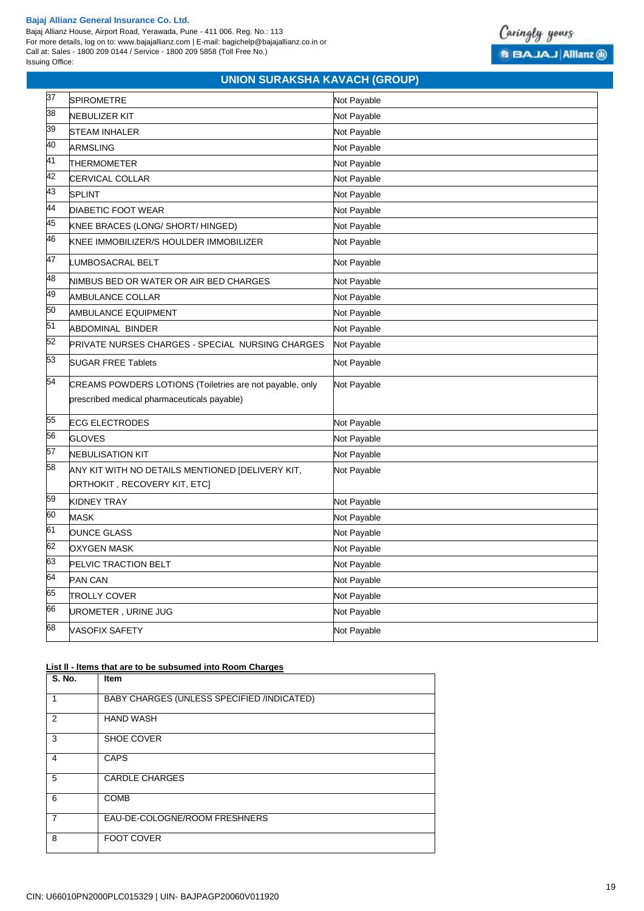Bajaj Allianz House, Airport Road, Yerawada, Pune - 411 006. Reg. No.: 113 For more details, log on to: www.bajajallianz.com | E-mail: bagichelp@bajajallianz.co.in or Call at: Sales - 1800 209 0144 / Service - 1800 209 5858 (Toll Free No.) Issuing Office:



# **UNION SURAKSHA KAVACH (GROUP)**

| 37 | <b>SPIROMETRE</b>                                        | Not Payable |
|----|----------------------------------------------------------|-------------|
| 38 | <b>NEBULIZER KIT</b>                                     | Not Payable |
| 39 | <b>STEAM INHALER</b>                                     | Not Payable |
| 40 | ARMSLING                                                 | Not Payable |
| 41 | THERMOMETER                                              | Not Payable |
| 42 | CERVICAL COLLAR                                          | Not Payable |
| 43 | <b>SPLINT</b>                                            | Not Payable |
| 44 | <b>DIABETIC FOOT WEAR</b>                                | Not Payable |
| 45 | KNEE BRACES (LONG/ SHORT/ HINGED)                        | Not Payable |
| 46 | KNEE IMMOBILIZER/S HOULDER IMMOBILIZER                   | Not Payable |
| 47 | LUMBOSACRAL BELT                                         | Not Payable |
| 48 | NIMBUS BED OR WATER OR AIR BED CHARGES                   | Not Payable |
| 49 | AMBULANCE COLLAR                                         | Not Payable |
| 50 | AMBULANCE EQUIPMENT                                      | Not Payable |
| 51 | ABDOMINAL BINDER                                         | Not Payable |
| 52 | PRIVATE NURSES CHARGES - SPECIAL NURSING CHARGES         | Not Payable |
| 53 | <b>SUGAR FREE Tablets</b>                                | Not Payable |
| 54 | CREAMS POWDERS LOTIONS (Toiletries are not payable, only | Not Payable |
|    | prescribed medical pharmaceuticals payable)              |             |
| 55 | <b>ECG ELECTRODES</b>                                    | Not Payable |
| 56 | <b>GLOVES</b>                                            | Not Payable |
| 57 | <b>NEBULISATION KIT</b>                                  | Not Payable |
| 58 | ANY KIT WITH NO DETAILS MENTIONED [DELIVERY KIT,         | Not Payable |
|    | ORTHOKIT, RECOVERY KIT, ETC]                             |             |
| 59 | KIDNEY TRAY                                              | Not Payable |
| 60 | MASK                                                     | Not Payable |
| 61 | <b>OUNCE GLASS</b>                                       | Not Payable |
| 62 | OXYGEN MASK                                              | Not Payable |
| 63 | PELVIC TRACTION BELT                                     | Not Payable |
| 64 | <b>PAN CAN</b>                                           | Not Payable |
| 65 | TROLLY COVER                                             | Not Payable |
| 66 | UROMETER, URINE JUG                                      | Not Payable |
| 68 | VASOFIX SAFETY                                           | Not Payable |

# **List ll - ltems that are to be subsumed into Room Charges**

| <b>S. No.</b>  | <b>Item</b>                                |
|----------------|--------------------------------------------|
| 1              | BABY CHARGES (UNLESS SPECIFIED /INDICATED) |
| 2              | <b>HAND WASH</b>                           |
| 3              | SHOE COVER                                 |
| $\overline{4}$ | <b>CAPS</b>                                |
| 5              | <b>CARDLE CHARGES</b>                      |
| 6              | <b>COMB</b>                                |
| 7              | EAU-DE-COLOGNE/ROOM FRESHNERS              |
| 8              | <b>FOOT COVER</b>                          |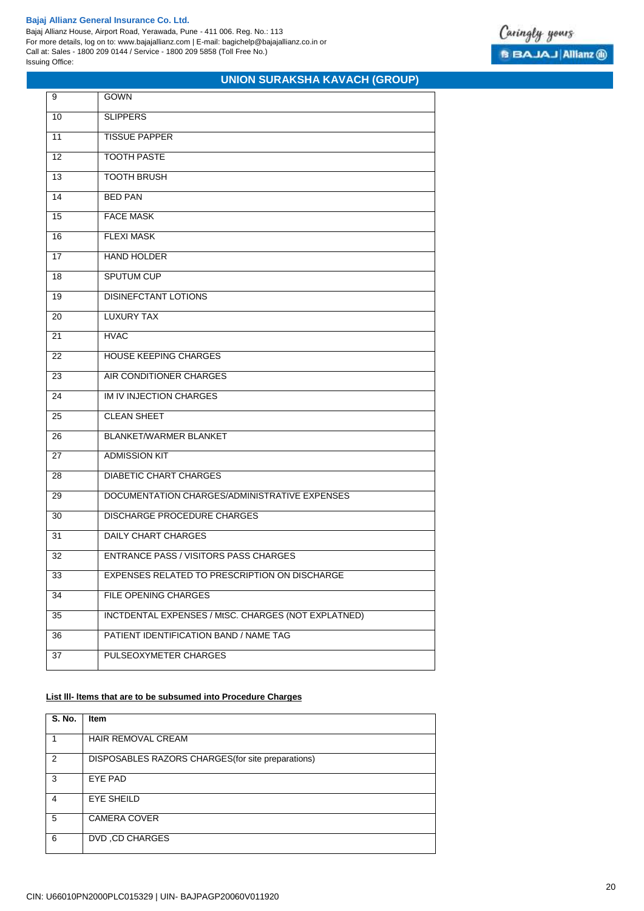$\blacksquare$ 

Bajaj Allianz House, Airport Road, Yerawada, Pune - 411 006. Reg. No.: 113 For more details, log on to: www.bajajallianz.com | E-mail: bagichelp@bajajallianz.co.in or Call at: Sales - 1800 209 0144 / Service - 1800 209 5858 (Toll Free No.) Issuing Office:

# **UNION SURAKSHA KAVACH (GROUP)**

| 9  | GOWN                                                |
|----|-----------------------------------------------------|
| 10 | <b>SLIPPERS</b>                                     |
| 11 | <b>TISSUE PAPPER</b>                                |
| 12 | <b>TOOTH PASTE</b>                                  |
| 13 | <b>TOOTH BRUSH</b>                                  |
| 14 | <b>BED PAN</b>                                      |
| 15 | <b>FACE MASK</b>                                    |
| 16 | <b>FLEXI MASK</b>                                   |
| 17 | <b>HAND HOLDER</b>                                  |
| 18 | <b>SPUTUM CUP</b>                                   |
| 19 | <b>DISINEFCTANT LOTIONS</b>                         |
| 20 | <b>LUXURY TAX</b>                                   |
| 21 | <b>HVAC</b>                                         |
| 22 | <b>HOUSE KEEPING CHARGES</b>                        |
| 23 | AIR CONDITIONER CHARGES                             |
| 24 | IM IV INJECTION CHARGES                             |
| 25 | <b>CLEAN SHEET</b>                                  |
| 26 | <b>BLANKET/WARMER BLANKET</b>                       |
| 27 | <b>ADMISSION KIT</b>                                |
| 28 | <b>DIABETIC CHART CHARGES</b>                       |
| 29 | DOCUMENTATION CHARGES/ADMINISTRATIVE EXPENSES       |
| 30 | <b>DISCHARGE PROCEDURE CHARGES</b>                  |
| 31 | <b>DAILY CHART CHARGES</b>                          |
| 32 | <b>ENTRANCE PASS / VISITORS PASS CHARGES</b>        |
| 33 | EXPENSES RELATED TO PRESCRIPTION ON DISCHARGE       |
| 34 | <b>FILE OPENING CHARGES</b>                         |
| 35 | INCTDENTAL EXPENSES / MtSC. CHARGES (NOT EXPLATNED) |
| 36 | PATIENT IDENTIFICATION BAND / NAME TAG              |
| 37 | PULSEOXYMETER CHARGES                               |

# **List lll- ltems that are to be subsumed into Procedure Charges**

| S. No.        | <b>Item</b>                                        |
|---------------|----------------------------------------------------|
|               | <b>HAIR REMOVAL CREAM</b>                          |
| $\mathcal{P}$ | DISPOSABLES RAZORS CHARGES (for site preparations) |
| 3             | EYE PAD                                            |
| 4             | <b>EYE SHEILD</b>                                  |
| 5             | <b>CAMERA COVER</b>                                |
| 6             | DVD, CD CHARGES                                    |
|               |                                                    |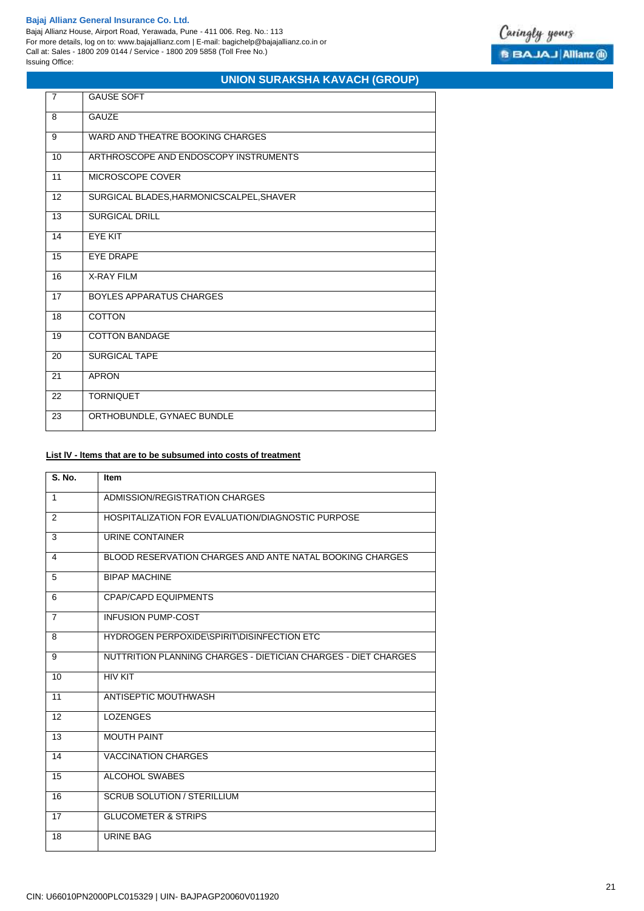$\overline{\phantom{a}}$ 

Bajaj Allianz House, Airport Road, Yerawada, Pune - 411 006. Reg. No.: 113 For more details, log on to: www.bajajallianz.com | E-mail: bagichelp@bajajallianz.co.in or Call at: Sales - 1800 209 0144 / Service - 1800 209 5858 (Toll Free No.) Issuing Office:

# **UNION SURAKSHA KAVACH (GROUP)**

| 7               | <b>GAUSE SOFT</b>                        |
|-----------------|------------------------------------------|
| 8               | GAUZE                                    |
| 9               | WARD AND THEATRE BOOKING CHARGES         |
| 10              | ARTHROSCOPE AND ENDOSCOPY INSTRUMENTS    |
| 11              | MICROSCOPE COVER                         |
| 12              | SURGICAL BLADES, HARMONICSCALPEL, SHAVER |
| $\overline{13}$ | <b>SURGICAL DRILL</b>                    |
| 14              | EYE KIT                                  |
| 15              | <b>EYE DRAPE</b>                         |
| 16              | <b>X-RAY FILM</b>                        |
| 17              | <b>BOYLES APPARATUS CHARGES</b>          |
| 18              | <b>COTTON</b>                            |
| 19              | <b>COTTON BANDAGE</b>                    |
| 20              | <b>SURGICAL TAPE</b>                     |
| 21              | <b>APRON</b>                             |
| 22              | <b>TORNIQUET</b>                         |
| 23              | ORTHOBUNDLE, GYNAEC BUNDLE               |

# **List lV - ltems that are to be subsumed into costs of treatment**

| S. No.         | <b>Item</b>                                                    |
|----------------|----------------------------------------------------------------|
| $\mathbf{1}$   | ADMISSION/REGISTRATION CHARGES                                 |
| 2              | HOSPITALIZATION FOR EVALUATION/DIAGNOSTIC PURPOSE              |
| 3              | URINE CONTAINER                                                |
| 4              | BLOOD RESERVATION CHARGES AND ANTE NATAL BOOKING CHARGES       |
| 5              | <b>BIPAP MACHINE</b>                                           |
| 6              | <b>CPAP/CAPD EQUIPMENTS</b>                                    |
| $\overline{7}$ | <b>INFUSION PUMP-COST</b>                                      |
| 8              | HYDROGEN PERPOXIDE\SPIRIT\DISINFECTION ETC                     |
| 9              | NUTTRITION PLANNING CHARGES - DIETICIAN CHARGES - DIET CHARGES |
| 10             | <b>HIV KIT</b>                                                 |
| 11             | ANTISEPTIC MOUTHWASH                                           |
| 12             | <b>LOZENGES</b>                                                |
| 13             | <b>MOUTH PAINT</b>                                             |
| 14             | <b>VACCINATION CHARGES</b>                                     |
| 15             | <b>ALCOHOL SWABES</b>                                          |
| 16             | <b>SCRUB SOLUTION / STERILLIUM</b>                             |
| 17             | <b>GLUCOMETER &amp; STRIPS</b>                                 |
| 18             | <b>URINE BAG</b>                                               |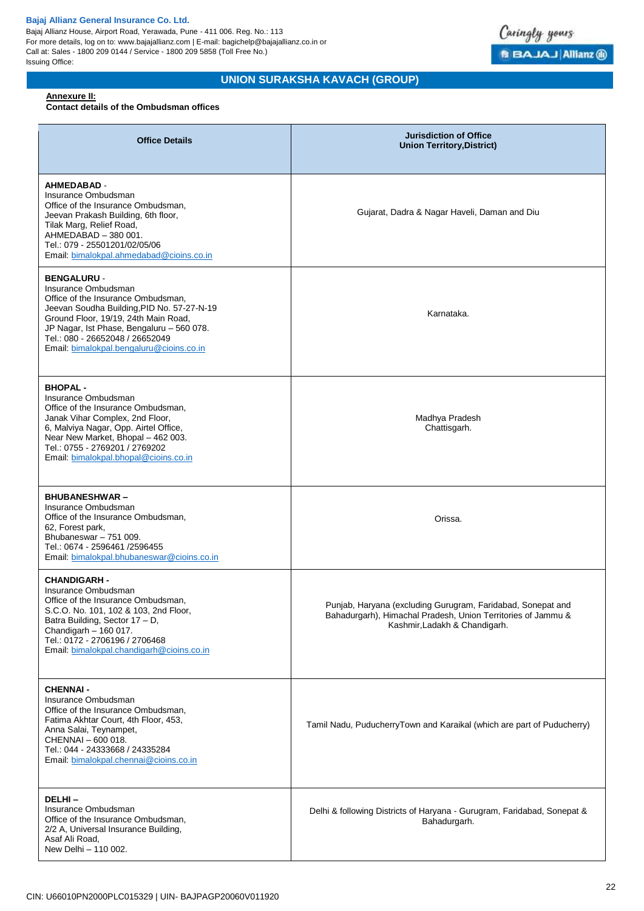Bajaj Allianz House, Airport Road, Yerawada, Pune - 411 006. Reg. No.: 113 For more details, log on to: www.bajajallianz.com | E-mail: bagichelp@bajajallianz.co.in or Call at: Sales - 1800 209 0144 / Service - 1800 209 5858 (Toll Free No.) Issuing Office:



# **UNION SURAKSHA KAVACH (GROUP)**

# **Annexure II:**

**Contact details of the Ombudsman offices**

| <b>Office Details</b>                                                                                                                                                                                                                                                                             | <b>Jurisdiction of Office</b><br><b>Union Territory, District)</b>                                                                                           |
|---------------------------------------------------------------------------------------------------------------------------------------------------------------------------------------------------------------------------------------------------------------------------------------------------|--------------------------------------------------------------------------------------------------------------------------------------------------------------|
| <b>AHMEDABAD -</b><br>Insurance Ombudsman<br>Office of the Insurance Ombudsman,<br>Jeevan Prakash Building, 6th floor,<br>Tilak Marg, Relief Road,<br>AHMEDABAD - 380 001.<br>Tel.: 079 - 25501201/02/05/06<br>Email: bimalokpal.ahmedabad@cioins.co.in                                           | Gujarat, Dadra & Nagar Haveli, Daman and Diu                                                                                                                 |
| <b>BENGALURU -</b><br>Insurance Ombudsman<br>Office of the Insurance Ombudsman,<br>Jeevan Soudha Building, PID No. 57-27-N-19<br>Ground Floor, 19/19, 24th Main Road,<br>JP Nagar, Ist Phase, Bengaluru - 560 078.<br>Tel.: 080 - 26652048 / 26652049<br>Email: bimalokpal.bengaluru@cioins.co.in | Karnataka.                                                                                                                                                   |
| <b>BHOPAL -</b><br>Insurance Ombudsman<br>Office of the Insurance Ombudsman,<br>Janak Vihar Complex, 2nd Floor,<br>6, Malviya Nagar, Opp. Airtel Office,<br>Near New Market, Bhopal - 462 003.<br>Tel.: 0755 - 2769201 / 2769202<br>Email: bimalokpal.bhopal@cioins.co.in                         | Madhya Pradesh<br>Chattisgarh.                                                                                                                               |
| <b>BHUBANESHWAR-</b><br>Insurance Ombudsman<br>Office of the Insurance Ombudsman,<br>62, Forest park,<br>Bhubaneswar - 751 009.<br>Tel.: 0674 - 2596461 /2596455<br>Email: bimalokpal.bhubaneswar@cioins.co.in                                                                                    | Orissa.                                                                                                                                                      |
| <b>CHANDIGARH -</b><br>Insurance Ombudsman<br>Office of the Insurance Ombudsman.<br>S.C.O. No. 101, 102 & 103, 2nd Floor,<br>Batra Building, Sector 17 - D,<br>Chandigarh $-160017$ .<br>Tel.: 0172 - 2706196 / 2706468<br>Email: bimalokpal.chandigarh@cioins.co.in                              | Punjab, Haryana (excluding Gurugram, Faridabad, Sonepat and<br>Bahadurgarh), Himachal Pradesh, Union Territories of Jammu &<br>Kashmir, Ladakh & Chandigarh. |
| <b>CHENNAI -</b><br>Insurance Ombudsman<br>Office of the Insurance Ombudsman,<br>Fatima Akhtar Court, 4th Floor, 453,<br>Anna Salai, Teynampet,<br>CHENNAI - 600 018.<br>Tel.: 044 - 24333668 / 24335284<br>Email: bimalokpal.chennai@cioins.co.in                                                | Tamil Nadu, PuducherryTown and Karaikal (which are part of Puducherry)                                                                                       |
| DELHI-<br>Insurance Ombudsman<br>Office of the Insurance Ombudsman,<br>2/2 A, Universal Insurance Building,<br>Asaf Ali Road,<br>New Delhi - 110 002.                                                                                                                                             | Delhi & following Districts of Haryana - Gurugram, Faridabad, Sonepat &<br>Bahadurgarh.                                                                      |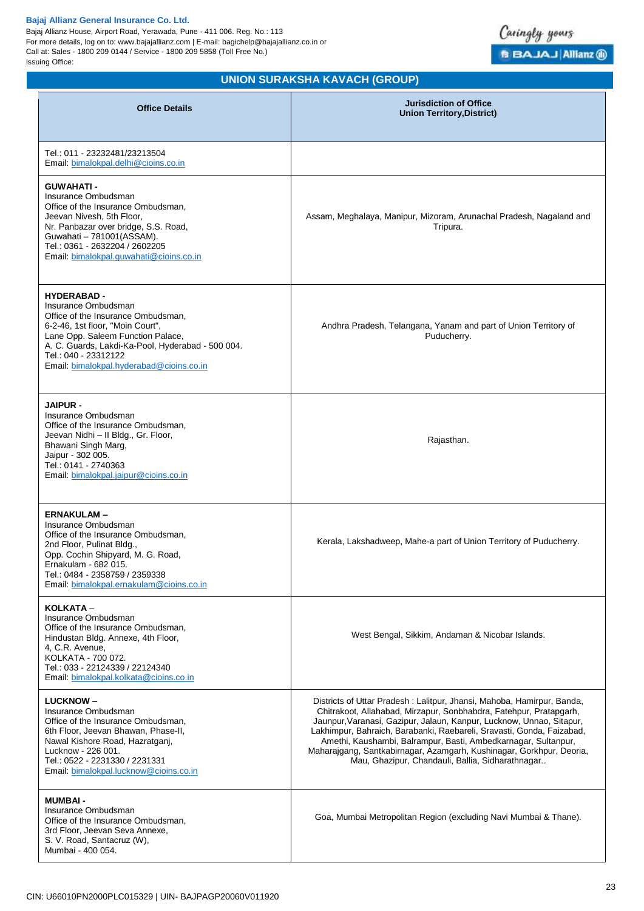Bajaj Allianz House, Airport Road, Yerawada, Pune - 411 006. Reg. No.: 113 For more details, log on to: www.bajajallianz.com | E-mail: bagichelp@bajajallianz.co.in or Call at: Sales - 1800 209 0144 / Service - 1800 209 5858 (Toll Free No.) Issuing Office:



# **UNION SURAKSHA KAVACH (GROUP)**

| <b>Office Details</b>                                                                                                                                                                                                                                                             | <b>Jurisdiction of Office</b><br><b>Union Territory, District)</b>                                                                                                                                                                                                                                                                                                                                                                                                                          |
|-----------------------------------------------------------------------------------------------------------------------------------------------------------------------------------------------------------------------------------------------------------------------------------|---------------------------------------------------------------------------------------------------------------------------------------------------------------------------------------------------------------------------------------------------------------------------------------------------------------------------------------------------------------------------------------------------------------------------------------------------------------------------------------------|
| Tel.: 011 - 23232481/23213504<br>Email: bimalokpal.delhi@cioins.co.in                                                                                                                                                                                                             |                                                                                                                                                                                                                                                                                                                                                                                                                                                                                             |
| <b>GUWAHATI -</b><br>Insurance Ombudsman<br>Office of the Insurance Ombudsman,<br>Jeevan Nivesh, 5th Floor,<br>Nr. Panbazar over bridge, S.S. Road,<br>Guwahati - 781001(ASSAM).<br>Tel.: 0361 - 2632204 / 2602205<br>Email: bimalokpal.guwahati@cioins.co.in                     | Assam, Meghalaya, Manipur, Mizoram, Arunachal Pradesh, Nagaland and<br>Tripura.                                                                                                                                                                                                                                                                                                                                                                                                             |
| <b>HYDERABAD -</b><br>Insurance Ombudsman<br>Office of the Insurance Ombudsman,<br>6-2-46, 1st floor, "Moin Court",<br>Lane Opp. Saleem Function Palace,<br>A. C. Guards, Lakdi-Ka-Pool, Hyderabad - 500 004.<br>Tel.: 040 - 23312122<br>Email: bimalokpal.hyderabad@cioins.co.in | Andhra Pradesh, Telangana, Yanam and part of Union Territory of<br>Puducherry.                                                                                                                                                                                                                                                                                                                                                                                                              |
| <b>JAIPUR -</b><br>Insurance Ombudsman<br>Office of the Insurance Ombudsman,<br>Jeevan Nidhi - Il Bldg., Gr. Floor,<br>Bhawani Singh Marg,<br>Jaipur - 302 005.<br>Tel.: 0141 - 2740363<br>Email: bimalokpal.jaipur@cioins.co.in                                                  | Rajasthan.                                                                                                                                                                                                                                                                                                                                                                                                                                                                                  |
| <b>ERNAKULAM-</b><br>Insurance Ombudsman<br>Office of the Insurance Ombudsman,<br>2nd Floor, Pulinat Bldg.,<br>Opp. Cochin Shipyard, M. G. Road,<br>Ernakulam - 682 015.<br>Tel.: 0484 - 2358759 / 2359338<br>Email, bimalokpal.ernakulam@cioins.co.in                            | Kerala, Lakshadweep, Mahe-a part of Union Territory of Puducherry.                                                                                                                                                                                                                                                                                                                                                                                                                          |
| KOLKATA -<br>Insurance Ombudsman<br>Office of the Insurance Ombudsman,<br>Hindustan Bldg. Annexe, 4th Floor,<br>4, C.R. Avenue,<br>KOLKATA - 700 072.<br>Tel.: 033 - 22124339 / 22124340<br>Email, bimalokpal, kolkata@cioins.co.in                                               | West Bengal, Sikkim, Andaman & Nicobar Islands.                                                                                                                                                                                                                                                                                                                                                                                                                                             |
| <b>LUCKNOW-</b><br>Insurance Ombudsman<br>Office of the Insurance Ombudsman,<br>6th Floor, Jeevan Bhawan, Phase-II,<br>Nawal Kishore Road, Hazratganj,<br>Lucknow - 226 001.<br>Tel.: 0522 - 2231330 / 2231331<br>Email: bimalokpal.lucknow@cioins.co.in                          | Districts of Uttar Pradesh: Lalitpur, Jhansi, Mahoba, Hamirpur, Banda,<br>Chitrakoot, Allahabad, Mirzapur, Sonbhabdra, Fatehpur, Pratapgarh,<br>Jaunpur, Varanasi, Gazipur, Jalaun, Kanpur, Lucknow, Unnao, Sitapur,<br>Lakhimpur, Bahraich, Barabanki, Raebareli, Sravasti, Gonda, Faizabad,<br>Amethi, Kaushambi, Balrampur, Basti, Ambedkarnagar, Sultanpur,<br>Maharajgang, Santkabirnagar, Azamgarh, Kushinagar, Gorkhpur, Deoria,<br>Mau, Ghazipur, Chandauli, Ballia, Sidharathnagar |
| <b>MUMBAI-</b><br>Insurance Ombudsman<br>Office of the Insurance Ombudsman,<br>3rd Floor, Jeevan Seva Annexe,<br>S. V. Road, Santacruz (W),<br>Mumbai - 400 054.                                                                                                                  | Goa, Mumbai Metropolitan Region (excluding Navi Mumbai & Thane).                                                                                                                                                                                                                                                                                                                                                                                                                            |